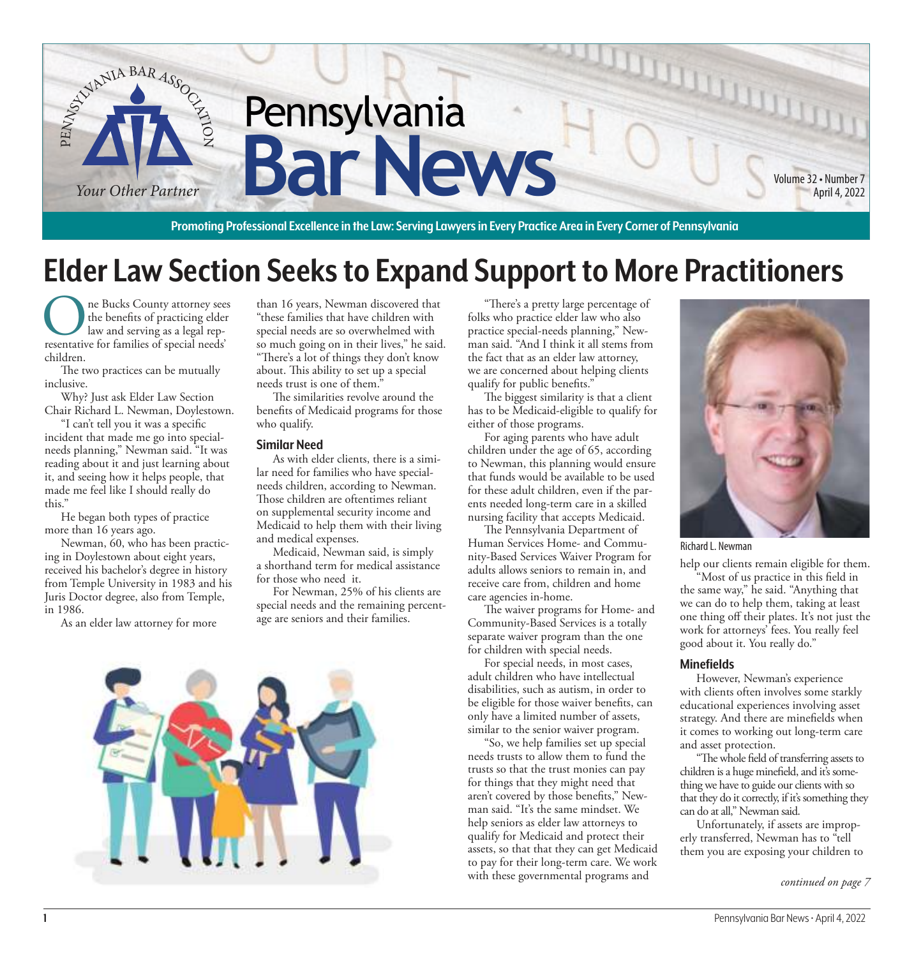

**Promoting Professional Excellence in the Law: Serving Lawyers in Every Practice Area in Every Corner of Pennsylvania**

# **Elder Law Section Seeks to Expand Support to More Practitioners**

The Bucks County attorney sees<br>the benefits of practicing elder<br>resentative for families of special needs' ne Bucks County attorney sees the benefits of practicing elder law and serving as a legal repchildren.

The two practices can be mutually inclusive.

Why? Just ask Elder Law Section Chair Richard L. Newman, Doylestown.

"I can't tell you it was a specific incident that made me go into specialneeds planning," Newman said. "It was reading about it and just learning about it, and seeing how it helps people, that made me feel like I should really do this."

He began both types of practice more than 16 years ago.

Newman, 60, who has been practicing in Doylestown about eight years, received his bachelor's degree in history from Temple University in 1983 and his Juris Doctor degree, also from Temple, in 1986.

As an elder law attorney for more

than 16 years, Newman discovered that "these families that have children with special needs are so overwhelmed with so much going on in their lives," he said. "There's a lot of things they don't know about. This ability to set up a special needs trust is one of them."

The similarities revolve around the benefits of Medicaid programs for those who qualify.

#### **Similar Need**

As with elder clients, there is a similar need for families who have specialneeds children, according to Newman. Those children are oftentimes reliant on supplemental security income and Medicaid to help them with their living and medical expenses.

Medicaid, Newman said, is simply a shorthand term for medical assistance for those who need it.

For Newman, 25% of his clients are special needs and the remaining percentage are seniors and their families.



"There's a pretty large percentage of folks who practice elder law who also practice special-needs planning," Newman said. "And I think it all stems from the fact that as an elder law attorney, we are concerned about helping clients qualify for public benefits."

The biggest similarity is that a client has to be Medicaid-eligible to qualify for either of those programs.

For aging parents who have adult children under the age of 65, according to Newman, this planning would ensure that funds would be available to be used for these adult children, even if the parents needed long-term care in a skilled nursing facility that accepts Medicaid.

The Pennsylvania Department of Human Services Home- and Community-Based Services Waiver Program for adults allows seniors to remain in, and receive care from, children and home care agencies in-home.

The waiver programs for Home- and Community-Based Services is a totally separate waiver program than the one for children with special needs.

For special needs, in most cases, adult children who have intellectual disabilities, such as autism, in order to be eligible for those waiver benefits, can only have a limited number of assets, similar to the senior waiver program.

"So, we help families set up special needs trusts to allow them to fund the trusts so that the trust monies can pay for things that they might need that aren't covered by those benefits," Newman said. "It's the same mindset. We help seniors as elder law attorneys to qualify for Medicaid and protect their assets, so that that they can get Medicaid to pay for their long-term care. We work with these governmental programs and



Richard L. Newman

help our clients remain eligible for them.

"Most of us practice in this field in the same way," he said. "Anything that we can do to help them, taking at least one thing off their plates. It's not just the work for attorneys' fees. You really feel good about it. You really do."

#### **Minefields**

However, Newman's experience with clients often involves some starkly educational experiences involving asset strategy. And there are minefields when it comes to working out long-term care and asset protection.

"The whole field of transferring assets to children is a huge minefield, and it's something we have to guide our clients with so that they do it correctly, if it's something they can do at all," Newman said.

Unfortunately, if assets are improperly transferred, Newman has to "tell them you are exposing your children to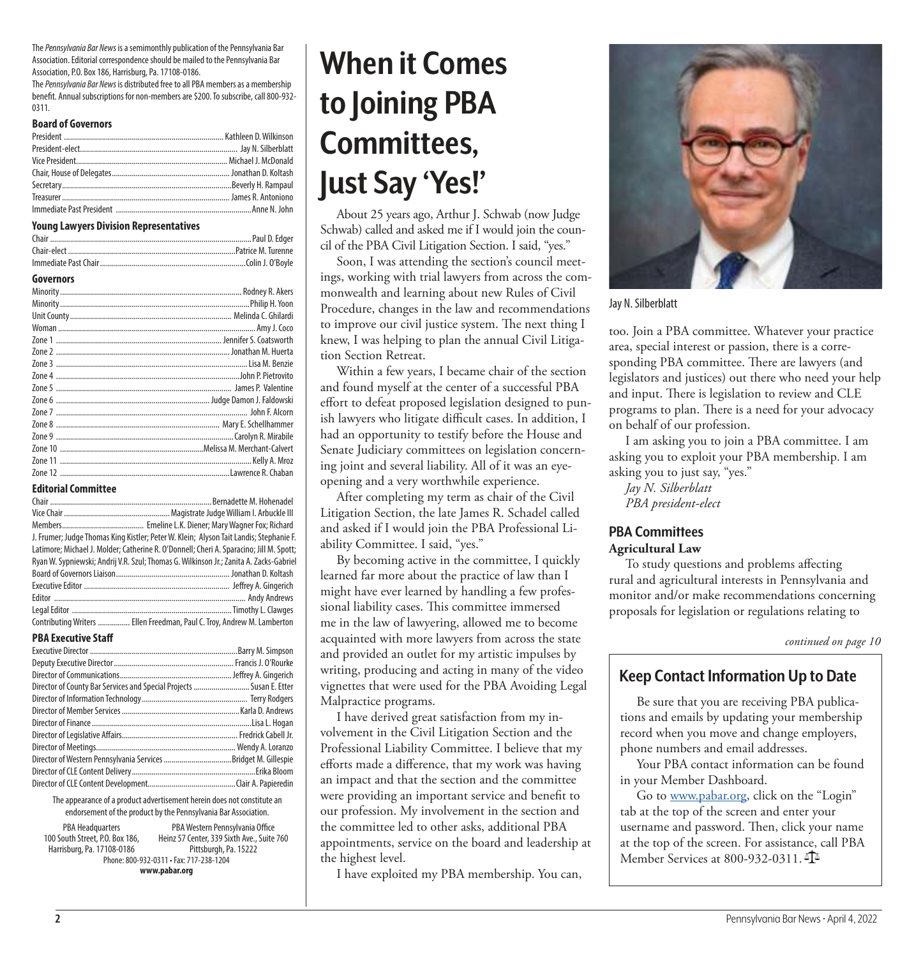The Pennsylvania Bar News is a semimonthly publication of the Pennsylvania Bar Association. Editorial correspondence should be mailed to the Pennsylvania Bar Association, P.O. Box 186, Harrisburg, Pa. 17108-0186.

The Pennsylvania Bar News is distributed free to all PBA members as a membership benefit. Annual subscriptions for non-members are \$200. To subscribe, call 800-932- 0311.

#### **Board of Governors**

#### **Young Lawyers Division Representatives**

| <b>TUGHLY LAW YELS DIVISION INEDIESENTALIVES</b> |
|--------------------------------------------------|
|                                                  |
|                                                  |
|                                                  |
|                                                  |
|                                                  |
|                                                  |
|                                                  |
|                                                  |
|                                                  |
|                                                  |
|                                                  |
|                                                  |
|                                                  |
|                                                  |
|                                                  |

#### Zone 7 ................................................................................................ John F. Alcorn Zone 8 .................................................................................. Mary E. Schellhammer Zone 9 .........................................................................................Carolyn R. Mirabile Zone 10 ........................................................................Melissa M. Merchant-Calvert Zone 11 ................................................................................................ Kelly A. Mroz Zone 12 .....................................................................................Lawrence R. Chaban

#### **Editorial Committee**

| J. Frumer; Judge Thomas King Kistler; Peter W. Klein; Alyson Tait Landis; Stephanie F.  |
|-----------------------------------------------------------------------------------------|
| Latimore; Michael J. Molder; Catherine R. O'Donnell; Cheri A. Sparacino; Jill M. Spott; |
| Ryan W. Sypniewski; Andrij V.R. Szul; Thomas G. Wilkinson Jr.; Zanita A. Zacks-Gabriel  |
|                                                                                         |
|                                                                                         |
|                                                                                         |
|                                                                                         |
| Contributing Writers  Ellen Freedman, Paul C. Troy, Andrew M. Lamberton                 |

#### **PBA Executive Staff**

| Director of County Bar Services and Special Projects  Susan E. Etter |  |
|----------------------------------------------------------------------|--|
|                                                                      |  |
|                                                                      |  |
|                                                                      |  |
|                                                                      |  |
|                                                                      |  |
|                                                                      |  |
|                                                                      |  |
|                                                                      |  |

The appearance of a product advertisement herein does not constitute an endorsement of the product by the Pennsylvania Bar Association.

PBA Headquarters 100 South Street, P.O. Box 186, Harrisburg, Pa. 17108-0186 PBA Western Pennsylvania Office Heinz 57 Center, 339 Sixth Ave., Suite 760 Pittsburgh, Pa. 15222 Phone: 800-932-0311 • Fax: 717-238-1204 **www.pabar.org**

# **When it Comes to Joining PBA Committees, Just Say 'Yes!'**

About 25 years ago, Arthur J. Schwab (now Judge Schwab) called and asked me if I would join the council of the PBA Civil Litigation Section. I said, "yes."

Soon, I was attending the section's council meetings, working with trial lawyers from across the commonwealth and learning about new Rules of Civil Procedure, changes in the law and recommendations to improve our civil justice system. The next thing I knew, I was helping to plan the annual Civil Litigation Section Retreat.

Within a few years, I became chair of the section and found myself at the center of a successful PBA effort to defeat proposed legislation designed to punish lawyers who litigate difficult cases. In addition, I had an opportunity to testify before the House and Senate Judiciary committees on legislation concerning joint and several liability. All of it was an eyeopening and a very worthwhile experience.

After completing my term as chair of the Civil Litigation Section, the late James R. Schadel called and asked if I would join the PBA Professional Liability Committee. I said, "yes."

By becoming active in the committee, I quickly learned far more about the practice of law than I might have ever learned by handling a few professional liability cases. This committee immersed me in the law of lawyering, allowed me to become acquainted with more lawyers from across the state and provided an outlet for my artistic impulses by writing, producing and acting in many of the video vignettes that were used for the PBA Avoiding Legal Malpractice programs.

I have derived great satisfaction from my involvement in the Civil Litigation Section and the Professional Liability Committee. I believe that my efforts made a difference, that my work was having an impact and that the section and the committee were providing an important service and benefit to our profession. My involvement in the section and the committee led to other asks, additional PBA appointments, service on the board and leadership at the highest level.

I have exploited my PBA membership. You can,



Jay N. Silberblatt

too. Join a PBA committee. Whatever your practice area, special interest or passion, there is a corresponding PBA committee. There are lawyers (and legislators and justices) out there who need your help and input. There is legislation to review and CLE programs to plan. There is a need for your advocacy on behalf of our profession.

I am asking you to join a PBA committee. I am asking you to exploit your PBA membership. I am asking you to just say, "yes."

*Jay N. Silberblatt PBA president-elect*

# **PBA Committees Agricultural Law**

To study questions and problems affecting rural and agricultural interests in Pennsylvania and monitor and/or make recommendations concerning proposals for legislation or regulations relating to

*continued on page 10*

# **Keep Contact Information Up to Date**

Be sure that you are receiving PBA publications and emails by updating your membership record when you move and change employers, phone numbers and email addresses.

Your PBA contact information can be found in your Member Dashboard.

Go to [www.pabar.org,](https://nam11.safelinks.protection.outlook.com/?url=http%3A%2F%2Fwww.pabar.org%2F&data=04%7C01%7CAndy.Andrews%40pabar.org%7C17d285607aa44dd09dea08d9e81ffb7f%7Cc54177158bb34f7bb9dd5c778fa8bc56%7C0%7C0%7C637796046330172410%7CUnknown%7CTWFpbGZsb3d8eyJWIjoiMC4wLjAwMDAiLCJQIjoiV2luMzIiLCJBTiI6Ik1haWwiLCJXVCI6Mn0%3D%7C3000&sdata=GXQaMKYh8vH%2BNWzaBwoDXq3tPtAuvbqu70TrybRKEeU%3D&reserved=0) click on the "Login" tab at the top of the screen and enter your username and password. Then, click your name at the top of the screen. For assistance, call PBA Member Services at 800-932-0311.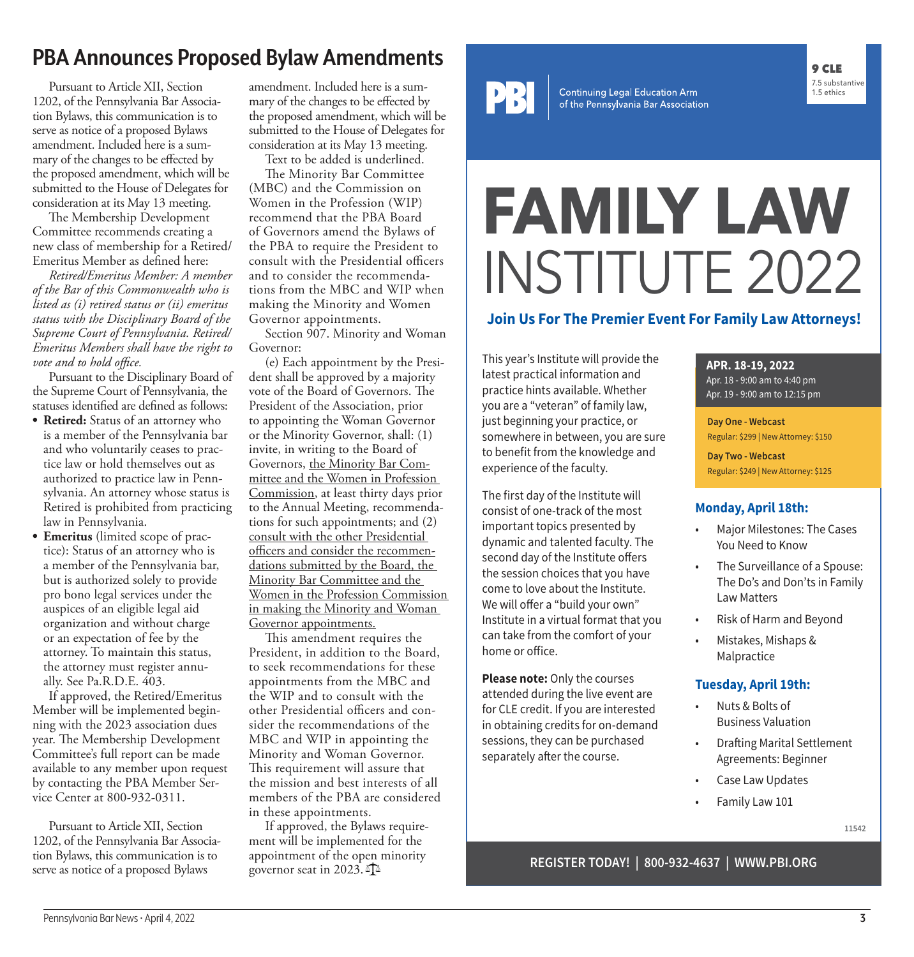# **PBA Announces Proposed Bylaw Amendments**

Pursuant to Article XII, Section 1202, of the Pennsylvania Bar Association Bylaws, this communication is to serve as notice of a proposed Bylaws amendment. Included here is a summary of the changes to be effected by the proposed amendment, which will be submitted to the House of Delegates for consideration at its May 13 meeting.

The Membership Development Committee recommends creating a new class of membership for a Retired/ Emeritus Member as defined here:

*Retired/Emeritus Member: A member of the Bar of this Commonwealth who is listed as (i) retired status or (ii) emeritus status with the Disciplinary Board of the Supreme Court of Pennsylvania. Retired/ Emeritus Members shall have the right to vote and to hold office.*

Pursuant to the Disciplinary Board of the Supreme Court of Pennsylvania, the statuses identified are defined as follows:

- **Retired:** Status of an attorney who is a member of the Pennsylvania bar and who voluntarily ceases to practice law or hold themselves out as authorized to practice law in Pennsylvania. An attorney whose status is Retired is prohibited from practicing law in Pennsylvania.
- **Emeritus** (limited scope of practice): Status of an attorney who is a member of the Pennsylvania bar, but is authorized solely to provide pro bono legal services under the auspices of an eligible legal aid organization and without charge or an expectation of fee by the attorney. To maintain this status, the attorney must register annually. See Pa.R.D.E. 403.

If approved, the Retired/Emeritus Member will be implemented beginning with the 2023 association dues year. The Membership Development Committee's full report can be made available to any member upon request by contacting the PBA Member Service Center at 800-932-0311.

Pursuant to Article XII, Section 1202, of the Pennsylvania Bar Association Bylaws, this communication is to serve as notice of a proposed Bylaws

amendment. Included here is a summary of the changes to be effected by the proposed amendment, which will be submitted to the House of Delegates for consideration at its May 13 meeting.

Text to be added is underlined.

The Minority Bar Committee (MBC) and the Commission on Women in the Profession (WIP) recommend that the PBA Board of Governors amend the Bylaws of the PBA to require the President to consult with the Presidential officers and to consider the recommendations from the MBC and WIP when making the Minority and Women Governor appointments.

Section 907. Minority and Woman Governor:

(e) Each appointment by the President shall be approved by a majority vote of the Board of Governors. The President of the Association, prior to appointing the Woman Governor or the Minority Governor, shall: (1) invite, in writing to the Board of Governors, the Minority Bar Committee and the Women in Profession Commission, at least thirty days prior to the Annual Meeting, recommendations for such appointments; and (2) consult with the other Presidential officers and consider the recommendations submitted by the Board, the Minority Bar Committee and the Women in the Profession Commission in making the Minority and Woman Governor appointments.

This amendment requires the President, in addition to the Board, to seek recommendations for these appointments from the MBC and the WIP and to consult with the other Presidential officers and consider the recommendations of the MBC and WIP in appointing the Minority and Woman Governor. This requirement will assure that the mission and best interests of all members of the PBA are considered in these appointments.

If approved, the Bylaws requirement will be implemented for the appointment of the open minority<br>governor seat in 2023.  $\Phi$ 



Continuing Legal Education Arm<br>of the Pennsylvania Bar Association

# **FAMILY LAW** INSTITUTE 2022

# **Join Us For The Premier Event For Family Law Attorneys!**

This year's Institute will provide the latest practical information and practice hints available. Whether you are a "veteran" of family law, just beginning your practice, or somewhere in between, you are sure to benefit from the knowledge and experience of the faculty.

The first day of the Institute will consist of one-track of the most important topics presented by dynamic and talented faculty. The second day of the Institute offers the session choices that you have come to love about the Institute. We will offer a "build your own" Institute in a virtual format that you can take from the comfort of your home or office.

**Please note: Only the courses** attended during the live event are for CLE credit. If you are interested in obtaining credits for on-demand sessions, they can be purchased separately after the course.

# **APR. 18-19, 2022**

Apr. 18 - 9:00 am to 4:40 pm Apr. 19 - 9:00 am to 12:15 pm

9 CLE 7.5 substantive 1.5 ethics

**Day One - Webcast** Regular: \$299 | New Attorney: \$150

**Day Two - Webcast** Regular: \$249 | New Attorney: \$125

# **Monday, April 18th:**

- Major Milestones: The Cases You Need to Know
- The Surveillance of a Spouse: The Do's and Don'ts in Family Law Matters
- Risk of Harm and Beyond
- Mistakes, Mishaps & Malpractice

# **Tuesday, April 19th:**

- Nuts & Bolts of Business Valuation
- Drafting Marital Settlement Agreements: Beginner
- Case Law Updates
- Family Law 101

**11542**

# governor seat in 2023. **REGISTER TODAY! | 800-932-4637 | WWW.PBI.ORG**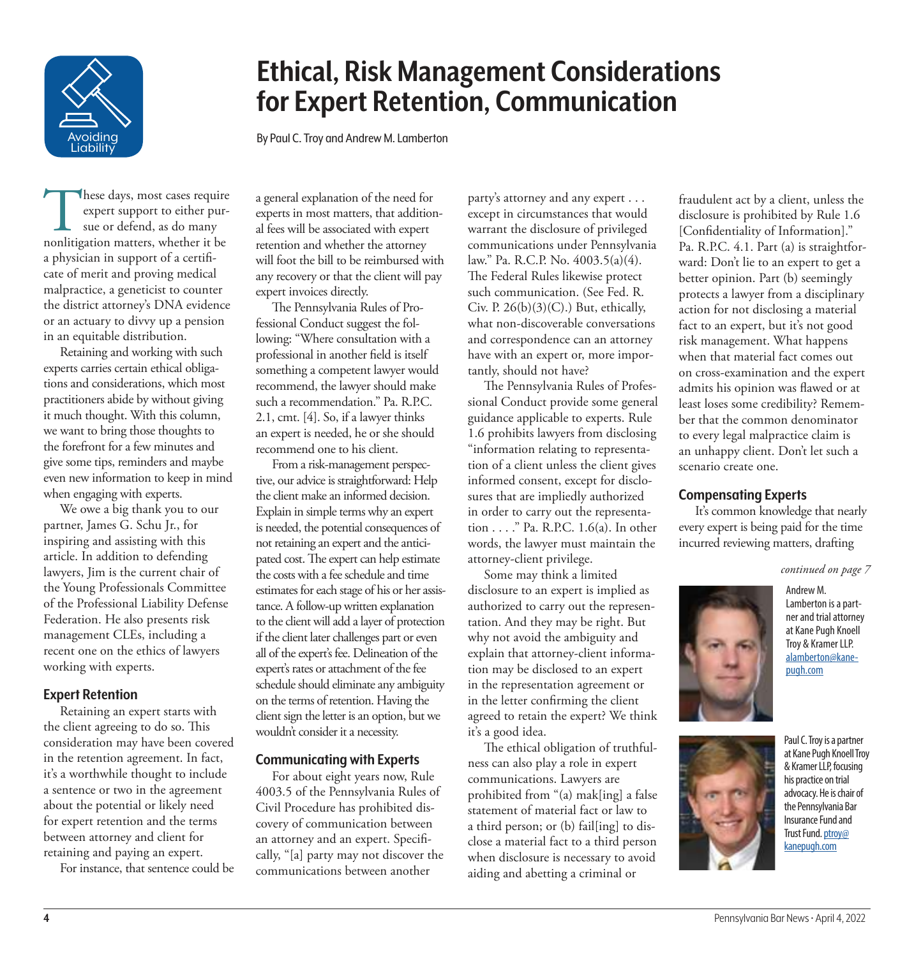

# **Ethical, Risk Management Considerations for Expert Retention, Communication**

By Paul C. Troy and Andrew M. Lamberton

These days, most cases require<br>
expert support to either pur-<br>
sue or defend, as do many<br>
nonlitigation matters, whether it be hese days, most cases require expert support to either pursue or defend, as do many a physician in support of a certificate of merit and proving medical malpractice, a geneticist to counter the district attorney's DNA evidence or an actuary to divvy up a pension in an equitable distribution.

Retaining and working with such experts carries certain ethical obligations and considerations, which most practitioners abide by without giving it much thought. With this column, we want to bring those thoughts to the forefront for a few minutes and give some tips, reminders and maybe even new information to keep in mind when engaging with experts.

We owe a big thank you to our partner, James G. Schu Jr., for inspiring and assisting with this article. In addition to defending lawyers, Jim is the current chair of the Young Professionals Committee of the Professional Liability Defense Federation. He also presents risk management CLEs, including a recent one on the ethics of lawyers working with experts.

# **Expert Retention**

Retaining an expert starts with the client agreeing to do so. This consideration may have been covered in the retention agreement. In fact, it's a worthwhile thought to include a sentence or two in the agreement about the potential or likely need for expert retention and the terms between attorney and client for retaining and paying an expert.

For instance, that sentence could be

a general explanation of the need for experts in most matters, that additional fees will be associated with expert retention and whether the attorney will foot the bill to be reimbursed with any recovery or that the client will pay expert invoices directly.

The Pennsylvania Rules of Professional Conduct suggest the following: "Where consultation with a professional in another field is itself something a competent lawyer would recommend, the lawyer should make such a recommendation." Pa. R.P.C. 2.1, cmt. [4]. So, if a lawyer thinks an expert is needed, he or she should recommend one to his client.

From a risk-management perspective, our advice is straightforward: Help the client make an informed decision. Explain in simple terms why an expert is needed, the potential consequences of not retaining an expert and the anticipated cost. The expert can help estimate the costs with a fee schedule and time estimates for each stage of his or her assistance. A follow-up written explanation to the client will add a layer of protection if the client later challenges part or even all of the expert's fee. Delineation of the expert's rates or attachment of the fee schedule should eliminate any ambiguity on the terms of retention. Having the client sign the letter is an option, but we wouldn't consider it a necessity.

### **Communicating with Experts**

For about eight years now, Rule 4003.5 of the Pennsylvania Rules of Civil Procedure has prohibited discovery of communication between an attorney and an expert. Specifically, "[a] party may not discover the communications between another

party's attorney and any expert . . . except in circumstances that would warrant the disclosure of privileged communications under Pennsylvania law." Pa. R.C.P. No. 4003.5(a)(4). The Federal Rules likewise protect such communication. (See Fed. R. Civ. P.  $26(b)(3)(C)$ .) But, ethically, what non-discoverable conversations and correspondence can an attorney have with an expert or, more importantly, should not have?

The Pennsylvania Rules of Professional Conduct provide some general guidance applicable to experts. Rule 1.6 prohibits lawyers from disclosing "information relating to representation of a client unless the client gives informed consent, except for disclosures that are impliedly authorized in order to carry out the representation . . . ." Pa. R.P.C. 1.6(a). In other words, the lawyer must maintain the attorney-client privilege.

Some may think a limited disclosure to an expert is implied as authorized to carry out the representation. And they may be right. But why not avoid the ambiguity and explain that attorney-client information may be disclosed to an expert in the representation agreement or in the letter confirming the client agreed to retain the expert? We think it's a good idea.

The ethical obligation of truthfulness can also play a role in expert communications. Lawyers are prohibited from "(a) mak[ing] a false statement of material fact or law to a third person; or (b) fail[ing] to disclose a material fact to a third person when disclosure is necessary to avoid aiding and abetting a criminal or

fraudulent act by a client, unless the disclosure is prohibited by Rule 1.6 [Confidentiality of Information]." Pa. R.P.C. 4.1. Part (a) is straightforward: Don't lie to an expert to get a better opinion. Part (b) seemingly protects a lawyer from a disciplinary action for not disclosing a material fact to an expert, but it's not good risk management. What happens when that material fact comes out on cross-examination and the expert admits his opinion was flawed or at least loses some credibility? Remember that the common denominator to every legal malpractice claim is an unhappy client. Don't let such a scenario create one.

### **Compensating Experts**

It's common knowledge that nearly every expert is being paid for the time incurred reviewing matters, drafting

*continued on page 7*



Andrew M. Lamberton is a partner and trial attorney at Kane Pugh Knoell Troy & Kramer LLP. [alamberton@kane](mailto:?subject=)[pugh.com](mailto:?subject=)



at Kane Pugh Knoell Troy & Kramer LLP, focusing his practice on trial advocacy. He is chair of the Pennsylvania Bar Insurance Fund and Trust Fund. [ptroy@](mailto:?subject=) [kanepugh.com](mailto:?subject=)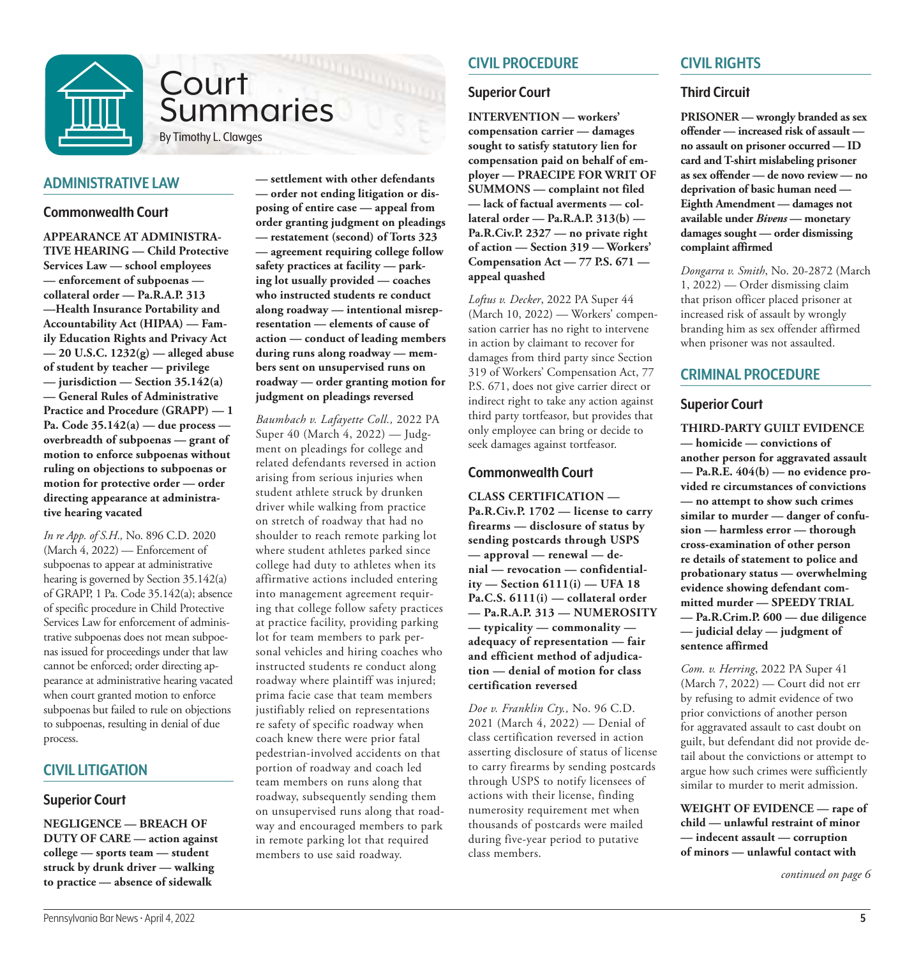

# **Court** Summaries

By Timothy L. Clawges

# **ADMINISTRATIVE LAW**

### **Commonwealth Court**

**APPEARANCE AT ADMINISTRA-TIVE HEARING — Child Protective Services Law — school employees — enforcement of subpoenas collateral order — Pa.R.A.P. 313 —Health Insurance Portability and Accountability Act (HIPAA) — Family Education Rights and Privacy Act — 20 U.S.C. 1232(g) — alleged abuse of student by teacher — privilege — jurisdiction — Section 35.142(a) — General Rules of Administrative Practice and Procedure (GRAPP) — 1 Pa. Code 35.142(a) — due process overbreadth of subpoenas — grant of motion to enforce subpoenas without ruling on objections to subpoenas or motion for protective order — order directing appearance at administrative hearing vacated**

*In re App. of S.H.,* No. 896 C.D. 2020 (March 4, 2022) — Enforcement of subpoenas to appear at administrative hearing is governed by Section 35.142(a) of GRAPP, 1 Pa. Code 35.142(a); absence of specific procedure in Child Protective Services Law for enforcement of administrative subpoenas does not mean subpoenas issued for proceedings under that law cannot be enforced; order directing appearance at administrative hearing vacated when court granted motion to enforce subpoenas but failed to rule on objections to subpoenas, resulting in denial of due process.

# **CIVIL LITIGATION**

# **Superior Court**

**NEGLIGENCE — BREACH OF DUTY OF CARE — action against college — sports team — student struck by drunk driver — walking to practice — absence of sidewalk** 

**— settlement with other defendants — order not ending litigation or disposing of entire case — appeal from order granting judgment on pleadings — restatement (second) of Torts 323 — agreement requiring college follow safety practices at facility — parking lot usually provided — coaches who instructed students re conduct along roadway — intentional misrepresentation — elements of cause of action — conduct of leading members during runs along roadway — members sent on unsupervised runs on roadway — order granting motion for judgment on pleadings reversed**

*Baumbach v. Lafayette Coll.,* 2022 PA Super 40 (March 4, 2022) — Judgment on pleadings for college and related defendants reversed in action arising from serious injuries when student athlete struck by drunken driver while walking from practice on stretch of roadway that had no shoulder to reach remote parking lot where student athletes parked since college had duty to athletes when its affirmative actions included entering into management agreement requiring that college follow safety practices at practice facility, providing parking lot for team members to park personal vehicles and hiring coaches who instructed students re conduct along roadway where plaintiff was injured; prima facie case that team members justifiably relied on representations re safety of specific roadway when coach knew there were prior fatal pedestrian-involved accidents on that portion of roadway and coach led team members on runs along that roadway, subsequently sending them on unsupervised runs along that roadway and encouraged members to park in remote parking lot that required members to use said roadway.

# **CIVIL PROCEDURE**

# **Superior Court**

**INTERVENTION — workers' compensation carrier — damages sought to satisfy statutory lien for compensation paid on behalf of employer — PRAECIPE FOR WRIT OF SUMMONS — complaint not filed — lack of factual averments — collateral order — Pa.R.A.P. 313(b) — Pa.R.Civ.P. 2327 — no private right of action — Section 319 — Workers' Compensation Act — 77 P.S. 671 appeal quashed**

*Loftus v. Decker*, 2022 PA Super 44 (March 10, 2022) — Workers' compensation carrier has no right to intervene in action by claimant to recover for damages from third party since Section 319 of Workers' Compensation Act, 77 P.S. 671, does not give carrier direct or indirect right to take any action against third party tortfeasor, but provides that only employee can bring or decide to seek damages against tortfeasor.

# **Commonwealth Court**

**CLASS CERTIFICATION — Pa.R.Civ.P. 1702 — license to carry firearms — disclosure of status by sending postcards through USPS — approval — renewal — denial — revocation — confidentiality — Section 6111(i) — UFA 18 Pa.C.S. 6111(i) — collateral order — Pa.R.A.P. 313 — NUMEROSITY — typicality — commonality adequacy of representation — fair and efficient method of adjudication — denial of motion for class certification reversed**

*Doe v. Franklin Cty.,* No. 96 C.D. 2021 (March 4, 2022) — Denial of class certification reversed in action asserting disclosure of status of license to carry firearms by sending postcards through USPS to notify licensees of actions with their license, finding numerosity requirement met when thousands of postcards were mailed during five-year period to putative class members.

# **CIVIL RIGHTS**

# **Third Circuit**

**PRISONER — wrongly branded as sex offender — increased risk of assault no assault on prisoner occurred — ID card and T-shirt mislabeling prisoner as sex offender — de novo review — no deprivation of basic human need — Eighth Amendment — damages not available under** *Bivens* **— monetary damages sought — order dismissing complaint affirmed**

*Dongarra v. Smith*, No. 20-2872 (March 1, 2022) — Order dismissing claim that prison officer placed prisoner at increased risk of assault by wrongly branding him as sex offender affirmed when prisoner was not assaulted.

# **CRIMINAL PROCEDURE**

# **Superior Court**

**THIRD-PARTY GUILT EVIDENCE — homicide — convictions of another person for aggravated assault — Pa.R.E. 404(b) — no evidence provided re circumstances of convictions — no attempt to show such crimes similar to murder — danger of confusion — harmless error — thorough cross-examination of other person re details of statement to police and probationary status — overwhelming evidence showing defendant committed murder — SPEEDY TRIAL — Pa.R.Crim.P. 600 — due diligence — judicial delay — judgment of sentence affirmed** 

*Com. v. Herring*, 2022 PA Super 41 (March 7, 2022) — Court did not err by refusing to admit evidence of two prior convictions of another person for aggravated assault to cast doubt on guilt, but defendant did not provide detail about the convictions or attempt to argue how such crimes were sufficiently similar to murder to merit admission.

**WEIGHT OF EVIDENCE — rape of child — unlawful restraint of minor — indecent assault — corruption of minors — unlawful contact with** 

*continued on page 6*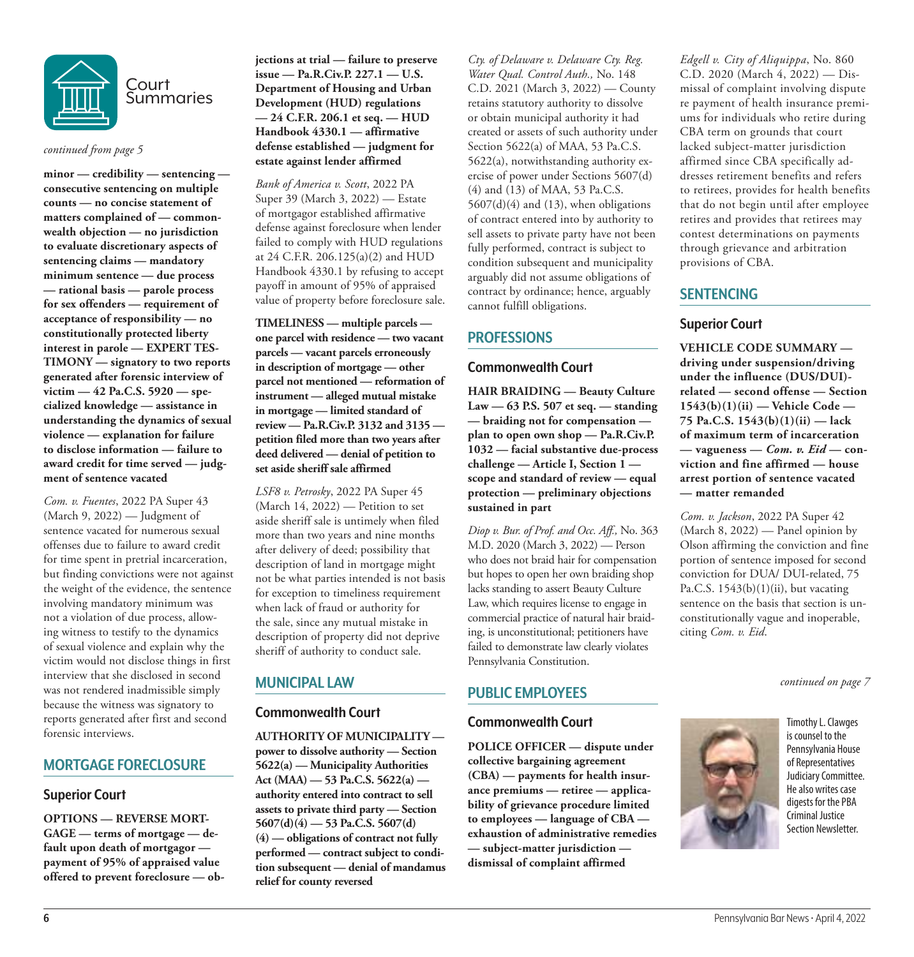

#### *continued from page 5*

**minor — credibility — sentencing consecutive sentencing on multiple counts — no concise statement of matters complained of — commonwealth objection — no jurisdiction to evaluate discretionary aspects of sentencing claims — mandatory minimum sentence — due process — rational basis — parole process for sex offenders — requirement of acceptance of responsibility — no constitutionally protected liberty interest in parole — EXPERT TES-TIMONY — signatory to two reports generated after forensic interview of victim — 42 Pa.C.S. 5920 — specialized knowledge — assistance in understanding the dynamics of sexual violence — explanation for failure to disclose information — failure to award credit for time served — judgment of sentence vacated**

*Com. v. Fuentes*, 2022 PA Super 43 (March 9, 2022) — Judgment of sentence vacated for numerous sexual offenses due to failure to award credit for time spent in pretrial incarceration, but finding convictions were not against the weight of the evidence, the sentence involving mandatory minimum was not a violation of due process, allowing witness to testify to the dynamics of sexual violence and explain why the victim would not disclose things in first interview that she disclosed in second was not rendered inadmissible simply because the witness was signatory to reports generated after first and second forensic interviews.

# **MORTGAGE FORECLOSURE**

# **Superior Court**

**OPTIONS — REVERSE MORT-GAGE — terms of mortgage — default upon death of mortgagor payment of 95% of appraised value offered to prevent foreclosure — ob-** **jections at trial — failure to preserve issue — Pa.R.Civ.P. 227.1 — U.S. Department of Housing and Urban Development (HUD) regulations — 24 C.F.R. 206.1 et seq. — HUD Handbook 4330.1 — affirmative defense established — judgment for estate against lender affirmed**

*Bank of America v. Scott*, 2022 PA Super 39 (March 3, 2022) — Estate of mortgagor established affirmative defense against foreclosure when lender failed to comply with HUD regulations at 24 C.F.R. 206.125(a)(2) and HUD Handbook 4330.1 by refusing to accept payoff in amount of 95% of appraised value of property before foreclosure sale.

**TIMELINESS — multiple parcels one parcel with residence — two vacant parcels — vacant parcels erroneously in description of mortgage — other parcel not mentioned — reformation of instrument — alleged mutual mistake in mortgage — limited standard of review — Pa.R.Civ.P. 3132 and 3135 petition filed more than two years after deed delivered — denial of petition to set aside sheriff sale affirmed**

*LSF8 v. Petrosky*, 2022 PA Super 45 (March 14, 2022) — Petition to set aside sheriff sale is untimely when filed more than two years and nine months after delivery of deed; possibility that description of land in mortgage might not be what parties intended is not basis for exception to timeliness requirement when lack of fraud or authority for the sale, since any mutual mistake in description of property did not deprive sheriff of authority to conduct sale.

# **MUNICIPAL LAW**

# **Commonwealth Court**

**AUTHORITY OF MUNICIPALITY power to dissolve authority — Section 5622(a) — Municipality Authorities Act (MAA) — 53 Pa.C.S. 5622(a) authority entered into contract to sell assets to private third party — Section 5607(d)(4) — 53 Pa.C.S. 5607(d) (4) — obligations of contract not fully performed — contract subject to condition subsequent — denial of mandamus relief for county reversed**

*Cty. of Delaware v. Delaware Cty. Reg. Water Qual. Control Auth.,* No. 148 C.D. 2021 (March 3, 2022) — County retains statutory authority to dissolve or obtain municipal authority it had created or assets of such authority under Section 5622(a) of MAA, 53 Pa.C.S. 5622(a), notwithstanding authority exercise of power under Sections 5607(d) (4) and (13) of MAA, 53 Pa.C.S.  $5607(d)(4)$  and  $(13)$ , when obligations of contract entered into by authority to sell assets to private party have not been fully performed, contract is subject to condition subsequent and municipality arguably did not assume obligations of contract by ordinance; hence, arguably cannot fulfill obligations.

# **PROFESSIONS**

### **Commonwealth Court**

**HAIR BRAIDING — Beauty Culture Law — 63 P.S. 507 et seq. — standing — braiding not for compensation plan to open own shop — Pa.R.Civ.P. 1032 — facial substantive due-process challenge — Article I, Section 1 scope and standard of review — equal protection — preliminary objections sustained in part**

*Diop v. Bur. of Prof. and Occ. Aff.,* No. 363 M.D. 2020 (March 3, 2022) — Person who does not braid hair for compensation but hopes to open her own braiding shop lacks standing to assert Beauty Culture Law, which requires license to engage in commercial practice of natural hair braiding, is unconstitutional; petitioners have failed to demonstrate law clearly violates Pennsylvania Constitution.

# **PUBLIC EMPLOYEES**

# **Commonwealth Court**

**POLICE OFFICER — dispute under collective bargaining agreement (CBA) — payments for health insurance premiums — retiree — applicability of grievance procedure limited to employees — language of CBA exhaustion of administrative remedies — subject-matter jurisdiction dismissal of complaint affirmed**

*Edgell v. City of Aliquippa*, No. 860 C.D. 2020 (March 4, 2022) — Dismissal of complaint involving dispute re payment of health insurance premiums for individuals who retire during CBA term on grounds that court lacked subject-matter jurisdiction affirmed since CBA specifically addresses retirement benefits and refers to retirees, provides for health benefits that do not begin until after employee retires and provides that retirees may contest determinations on payments through grievance and arbitration provisions of CBA.

# **SENTENCING**

# **Superior Court**

**VEHICLE CODE SUMMARY driving under suspension/driving under the influence (DUS/DUI) related — second offense — Section 1543(b)(1)(ii) — Vehicle Code — 75 Pa.C.S. 1543(b)(1)(ii) — lack of maximum term of incarceration**   $-$  vagueness  $-$  *Com. v. Eid*  $-$  con**viction and fine affirmed — house arrest portion of sentence vacated — matter remanded**

*Com. v. Jackson*, 2022 PA Super 42 (March 8, 2022) — Panel opinion by Olson affirming the conviction and fine portion of sentence imposed for second conviction for DUA/ DUI-related, 75 Pa.C.S.  $1543(b)(1)(ii)$ , but vacating sentence on the basis that section is unconstitutionally vague and inoperable, citing *Com. v. Eid*.

*continued on page 7*



Timothy L. Clawges is counsel to the Pennsylvania House of Representatives Judiciary Committee. He also writes case digests for the PBA Criminal Justice Section Newsletter.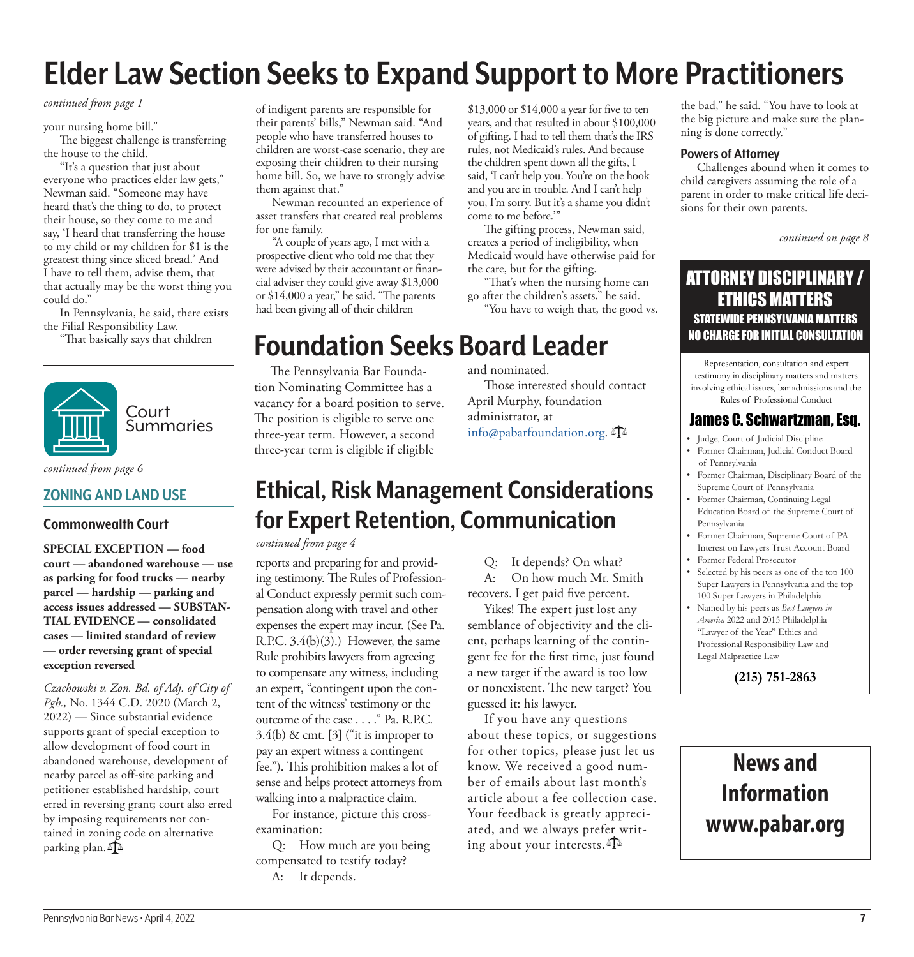# **Elder Law Section Seeks to Expand Support to More Practitioners**

#### *continued from page 1*

your nursing home bill."

The biggest challenge is transferring the house to the child.

"It's a question that just about everyone who practices elder law gets," Newman said. "Someone may have heard that's the thing to do, to protect their house, so they come to me and say, 'I heard that transferring the house to my child or my children for \$1 is the greatest thing since sliced bread.' And I have to tell them, advise them, that that actually may be the worst thing you could do."

In Pennsylvania, he said, there exists the Filial Responsibility Law.

"That basically says that children



*continued from page 6*

# **ZONING AND LAND USE**

# **Commonwealth Court**

**SPECIAL EXCEPTION — food court — abandoned warehouse — use as parking for food trucks — nearby parcel — hardship — parking and access issues addressed — SUBSTAN-TIAL EVIDENCE — consolidated cases — limited standard of review — order reversing grant of special exception reversed**

*Czachowski v. Zon. Bd. of Adj. of City of Pgh.,* No. 1344 C.D. 2020 (March 2, 2022) — Since substantial evidence supports grant of special exception to allow development of food court in abandoned warehouse, development of nearby parcel as off-site parking and petitioner established hardship, court erred in reversing grant; court also erred by imposing requirements not contained in zoning code on alternative parking plan.

of indigent parents are responsible for their parents' bills," Newman said. "And people who have transferred houses to children are worst-case scenario, they are exposing their children to their nursing home bill. So, we have to strongly advise them against that."

Newman recounted an experience of asset transfers that created real problems for one family.

"A couple of years ago, I met with a prospective client who told me that they were advised by their accountant or financial adviser they could give away \$13,000 or \$14,000 a year," he said. "The parents had been giving all of their children

\$13,000 or \$14,000 a year for five to ten years, and that resulted in about \$100,000 of gifting. I had to tell them that's the IRS rules, not Medicaid's rules. And because the children spent down all the gifts, I said, 'I can't help you. You're on the hook and you are in trouble. And I can't help you, I'm sorry. But it's a shame you didn't come to me before.'"

The gifting process, Newman said, creates a period of ineligibility, when Medicaid would have otherwise paid for the care, but for the gifting.

"That's when the nursing home can go after the children's assets," he said.

"You have to weigh that, the good vs.

# **Foundation Seeks Board Leader**

The Pennsylvania Bar Foundation Nominating Committee has a vacancy for a board position to serve. The position is eligible to serve one three-year term. However, a second three-year term is eligible if eligible

and nominated.

Those interested should contact April Murphy, foundation administrator, at [info@pabarfoundation.org](mailto:info@pabarfoundation.org).  $\Delta \approx$ 

# **Ethical, Risk Management Considerations for Expert Retention, Communication**

#### *continued from page 4*

reports and preparing for and providing testimony. The Rules of Professional Conduct expressly permit such compensation along with travel and other expenses the expert may incur. (See Pa. R.P.C.  $3.4(b)(3)$ .) However, the same Rule prohibits lawyers from agreeing to compensate any witness, including an expert, "contingent upon the content of the witness' testimony or the outcome of the case . . . ." Pa. R.P.C.  $3.4(b)$  & cmt. [3] ("it is improper to pay an expert witness a contingent fee."). This prohibition makes a lot of sense and helps protect attorneys from walking into a malpractice claim.

For instance, picture this crossexamination:

Q: How much are you being compensated to testify today? A: It depends.

Q: It depends? On what? A: On how much Mr. Smith recovers. I get paid five percent.

Yikes! The expert just lost any semblance of objectivity and the client, perhaps learning of the contingent fee for the first time, just found a new target if the award is too low or nonexistent. The new target? You guessed it: his lawyer.

If you have any questions about these topics, or suggestions for other topics, please just let us know. We received a good number of emails about last month's article about a fee collection case. Your feedback is greatly appreciated, and we always prefer writing about your interests.  $\mathbb{I}^{\mathbb{A}}$ 

the bad," he said. "You have to look at the big picture and make sure the planning is done correctly."

#### **Powers of Attorney**

Challenges abound when it comes to child caregivers assuming the role of a parent in order to make critical life decisions for their own parents.

*continued on page 8*

# ATTORNEY DISCIPLINARY / ETHICS MATTERS STATEWIDE PENNSYLVANIA MATTERS NO CHARGE FOR INITIAL CONSULTATION

Representation, consultation and expert testimony in disciplinary matters and matters involving ethical issues, bar admissions and the Rules of Professional Conduct

# James C. Schwartzman, Esq.

- Judge, Court of Judicial Discipline
- Former Chairman, Judicial Conduct Board of Pennsylvania
- Former Chairman, Disciplinary Board of the Supreme Court of Pennsylvania
- Former Chairman, Continuing Legal Education Board of the Supreme Court of Pennsylvania
- Former Chairman, Supreme Court of PA Interest on Lawyers Trust Account Board • Former Federal Prosecutor
- Selected by his peers as one of the top 100
- Super Lawyers in Pennsylvania and the top 100 Super Lawyers in Philadelphia
- Named by his peers as *Best Lawyers in America* 2022 and 2015 Philadelphia "Lawyer of the Year" Ethics and Professional Responsibility Law and Legal Malpractice Law

**(215) 751-2863**

# **News and Information www.pabar.org**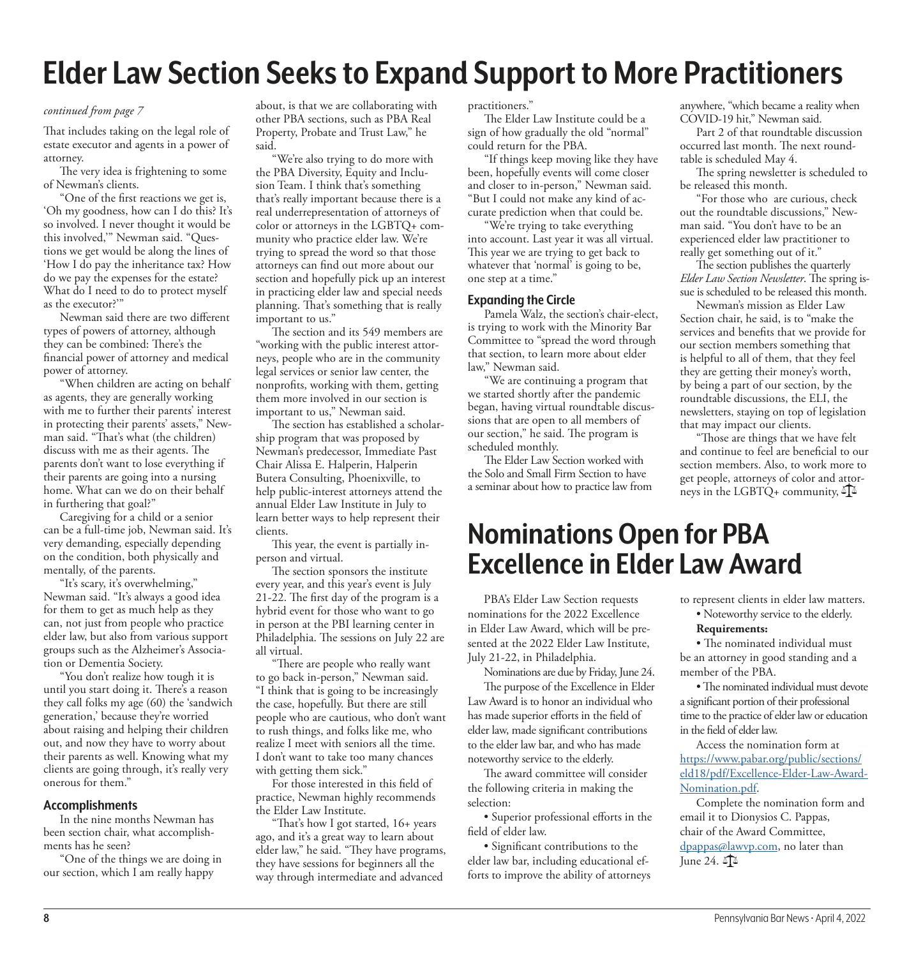# **Elder Law Section Seeks to Expand Support to More Practitioners**

#### *continued from page 7*

That includes taking on the legal role of estate executor and agents in a power of attorney.

The very idea is frightening to some of Newman's clients.

"One of the first reactions we get is, 'Oh my goodness, how can I do this? It's so involved. I never thought it would be this involved,'" Newman said. "Questions we get would be along the lines of 'How I do pay the inheritance tax? How do we pay the expenses for the estate? What do I need to do to protect myself as the executor?'"

Newman said there are two different types of powers of attorney, although they can be combined: There's the financial power of attorney and medical power of attorney.

"When children are acting on behalf as agents, they are generally working with me to further their parents' interest in protecting their parents' assets," Newman said. "That's what (the children) discuss with me as their agents. The parents don't want to lose everything if their parents are going into a nursing home. What can we do on their behalf in furthering that goal?"

Caregiving for a child or a senior can be a full-time job, Newman said. It's very demanding, especially depending on the condition, both physically and mentally, of the parents.

"It's scary, it's overwhelming," Newman said. "It's always a good idea for them to get as much help as they can, not just from people who practice elder law, but also from various support groups such as the Alzheimer's Association or Dementia Society.

"You don't realize how tough it is until you start doing it. There's a reason they call folks my age (60) the 'sandwich generation,' because they're worried about raising and helping their children out, and now they have to worry about their parents as well. Knowing what my clients are going through, it's really very onerous for them."

#### **Accomplishments**

In the nine months Newman has been section chair, what accomplishments has he seen?

"One of the things we are doing in our section, which I am really happy

about, is that we are collaborating with other PBA sections, such as PBA Real Property, Probate and Trust Law," he said.

"We're also trying to do more with the PBA Diversity, Equity and Inclusion Team. I think that's something that's really important because there is a real underrepresentation of attorneys of color or attorneys in the LGBTQ+ community who practice elder law. We're trying to spread the word so that those attorneys can find out more about our section and hopefully pick up an interest in practicing elder law and special needs planning. That's something that is really important to us."

The section and its 549 members are "working with the public interest attorneys, people who are in the community legal services or senior law center, the nonprofits, working with them, getting them more involved in our section is important to us," Newman said.

The section has established a scholarship program that was proposed by Newman's predecessor, Immediate Past Chair Alissa E. Halperin, Halperin Butera Consulting, Phoenixville, to help public-interest attorneys attend the annual Elder Law Institute in July to learn better ways to help represent their clients.

This year, the event is partially inperson and virtual.

The section sponsors the institute every year, and this year's event is July 21-22. The first day of the program is a hybrid event for those who want to go in person at the PBI learning center in Philadelphia. The sessions on July 22 are all virtual.

"There are people who really want to go back in-person," Newman said. "I think that is going to be increasingly the case, hopefully. But there are still people who are cautious, who don't want to rush things, and folks like me, who realize I meet with seniors all the time. I don't want to take too many chances with getting them sick."

For those interested in this field of practice, Newman highly recommends the Elder Law Institute.

"That's how I got started, 16+ years ago, and it's a great way to learn about elder law," he said. "They have programs, they have sessions for beginners all the way through intermediate and advanced

practitioners."

The Elder Law Institute could be a sign of how gradually the old "normal" could return for the PBA.

"If things keep moving like they have been, hopefully events will come closer and closer to in-person," Newman said. "But I could not make any kind of accurate prediction when that could be.

"We're trying to take everything into account. Last year it was all virtual. This year we are trying to get back to whatever that 'normal' is going to be, one step at a time."

#### **Expanding the Circle**

Pamela Walz, the section's chair-elect, is trying to work with the Minority Bar Committee to "spread the word through that section, to learn more about elder law," Newman said.

"We are continuing a program that we started shortly after the pandemic began, having virtual roundtable discussions that are open to all members of our section," he said. The program is scheduled monthly.

The Elder Law Section worked with the Solo and Small Firm Section to have a seminar about how to practice law from

# **Nominations Open for PBA Excellence in Elder Law Award**

PBA's Elder Law Section requests nominations for the 2022 Excellence in Elder Law Award, which will be presented at the 2022 Elder Law Institute, July 21-22, in Philadelphia.

Nominations are due by Friday, June 24. The purpose of the Excellence in Elder Law Award is to honor an individual who has made superior efforts in the field of elder law, made significant contributions to the elder law bar, and who has made noteworthy service to the elderly.

The award committee will consider the following criteria in making the selection:

• Superior professional efforts in the field of elder law.

• Significant contributions to the elder law bar, including educational efforts to improve the ability of attorneys anywhere, "which became a reality when COVID-19 hit," Newman said.

Part 2 of that roundtable discussion occurred last month. The next roundtable is scheduled May 4.

The spring newsletter is scheduled to be released this month.

"For those who are curious, check out the roundtable discussions," Newman said. "You don't have to be an experienced elder law practitioner to really get something out of it."

The section publishes the quarterly *Elder Law Section Newsletter*. The spring issue is scheduled to be released this month.

Newman's mission as Elder Law Section chair, he said, is to "make the services and benefits that we provide for our section members something that is helpful to all of them, that they feel they are getting their money's worth, by being a part of our section, by the roundtable discussions, the ELI, the newsletters, staying on top of legislation that may impact our clients.

"Those are things that we have felt and continue to feel are beneficial to our section members. Also, to work more to get people, attorneys of color and attorneys in the LGBTQ+ community,  $\mathbb{A}$ 

to represent clients in elder law matters. • Noteworthy service to the elderly.

• The nominated individual must be an attorney in good standing and a

Access the nomination form at [https://www.pabar.org/public/sections/](https://www.pabar.org/public/sections/eld18/pdf/Excellence-Elder-Law-Award-Nomination.pdf) [eld18/pdf/Excellence-Elder-Law-Award-](https://www.pabar.org/public/sections/eld18/pdf/Excellence-Elder-Law-Award-Nomination.pdf)

email it to Dionysios C. Pappas, chair of the Award Committee, [dpappas@lawvp.com](mailto:dpappas%40lawvp.com?subject=), no later than

Complete the nomination form and

• The nominated individual must devote a significant portion of their professional time to the practice of elder law or education

**Requirements:**

member of the PBA.

in the field of elder law.

[Nomination.pdf.](https://www.pabar.org/public/sections/eld18/pdf/Excellence-Elder-Law-Award-Nomination.pdf)

June 24.  $\sqrt{2}$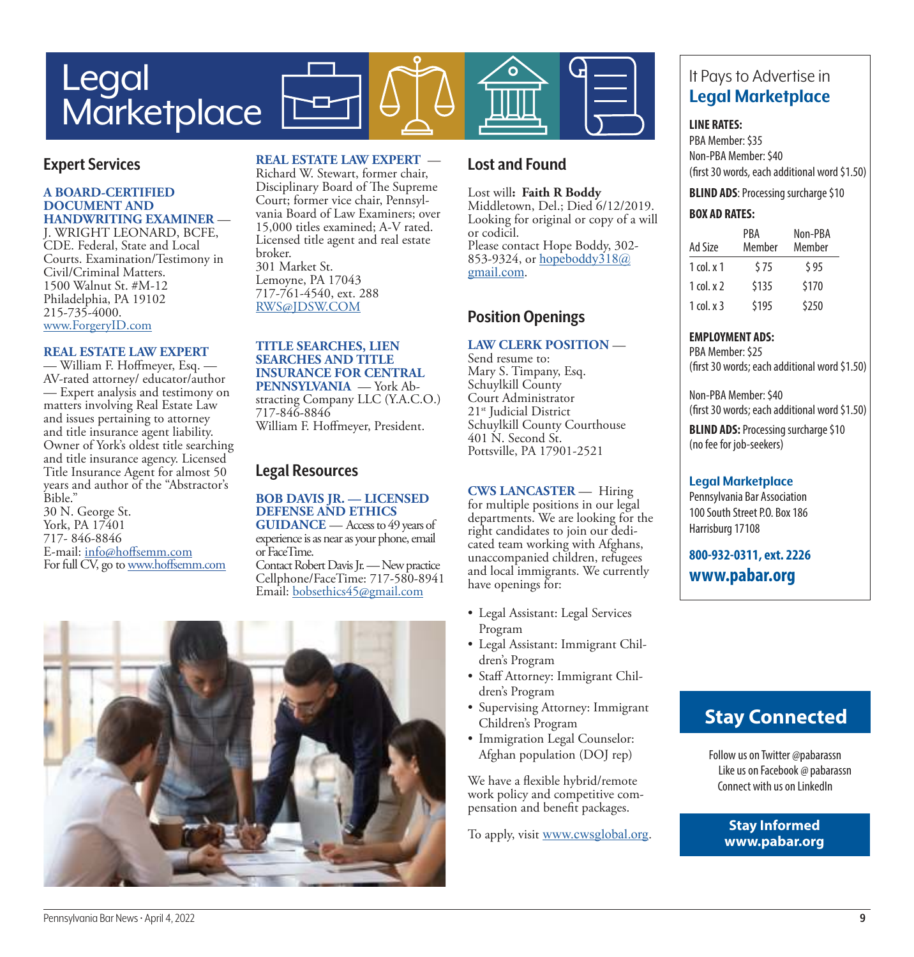

# **Expert Services**

#### **A BOARD-CERTIFIED DOCUMENT AND HANDWRITING EXAMINER** —

J. WRIGHT LEONARD, BCFE, CDE. Federal, State and Local Courts. Examination/Testimony in Civil/Criminal Matters. 1500 Walnut St. #M-12 Philadelphia, PA 19102 215-735-4000. [www.ForgeryID.com](http://www.ForgeryID.com)

#### **REAL ESTATE LAW EXPERT**

— William F. Hoffmeyer, Esq. — AV-rated attorney/ educator/author — Expert analysis and testimony on matters involving Real Estate Law and issues pertaining to attorney and title insurance agent liability. Owner of York's oldest title searching and title insurance agency. Licensed Title Insurance Agent for almost 50 years and author of the "Abstractor's Bible." 30 N. George St.

York, PA 17401 717- 846-8846 E-mail: [info@hoffsemm.com](mailto:info@hoffsemm.com) For full CV, go to [www.hoffsemm.com](http://www.hoffsemm.com)

# **REAL ESTATE LAW EXPERT** —

Richard W. Stewart, former chair, Disciplinary Board of The Supreme Court; former vice chair, Pennsylvania Board of Law Examiners; over 15,000 titles examined; A-V rated. Licensed title agent and real estate broker. 301 Market St. Lemoyne, PA 17043 717-761-4540, ext. 288 [RWS@JDSW.COM](mailto:RWS@JDSW.COM)

#### **TITLE SEARCHES, LIEN SEARCHES AND TITLE INSURANCE FOR CENTRAL PENNSYLVANIA** — York Ab-

stracting Company LLC (Y.A.C.O.) 717-846-8846 William F. Hoffmeyer, President.

# **Legal Resources**

**BOB DAVIS JR. — LICENSED DEFENSE AND ETHICS GUIDANCE** — Access to 49 years of experience is as near as your phone, email or FaceTime. Contact Robert Davis Jr. — New practice Cellphone/FaceTime: 717-580-8941 Email: [bobsethics45@gmail.com](mailto:bobsethics45@gmail.com)



# **Lost and Found**

Lost will**: Faith R Boddy** Middletown, Del.; Died 6/12/2019. Looking for original or copy of a will or codicil. Please contact Hope Boddy, 302 853-9324, or [hopeboddy318@](mailto:hopeboddy318@gmail.com) [gmail.com](mailto:hopeboddy318@gmail.com).

# **Position Openings**

**LAW CLERK POSITION** — Send resume to: Mary S. Timpany, Esq. Schuylkill County Court Administrator 21<sup>st</sup> Judicial District Schuylkill County Courthouse 401 N. Second St.

Pottsville, PA 17901-2521

**CWS LANCASTER** — Hiring for multiple positions in our legal departments. We are looking for the right candidates to join our dedicated team working with Afghans, unaccompanied children, refugees and local immigrants. We currently have openings for:

- Legal Assistant: Legal Services Program
- Legal Assistant: Immigrant Children's Program
- Staff Attorney: Immigrant Children's Program
- Supervising Attorney: Immigrant Children's Program
- Immigration Legal Counselor: Afghan population (DOJ rep)

We have a flexible hybrid/remote work policy and competitive compensation and benefit packages.

To apply, visit [www.cwsglobal.org](http://www.cwsglobal.org).

# It Pays to Advertise in **Legal Marketplace**

#### **LINE RATES:**

PBA Member: \$35 Non-PBA Member: \$40 (first 30 words, each additional word \$1.50)

**BLIND ADS**: Processing surcharge \$10

#### **BOX AD RATES:**

| Ad Size               | PBA<br>Member | Non-PBA<br>Member |
|-----------------------|---------------|-------------------|
| $1$ col. $\times$ $1$ | \$75          | \$95              |
| 1 col. $x$ 2          | \$135         | \$170             |
| $1$ col. $\times$ 3   | \$195         | \$250             |

### **EMPLOYMENT ADS:**

PBA Member: \$25 (first 30 words; each additional word \$1.50)

Non-PBA Member: \$40 (first 30 words; each additional word \$1.50)

**BLIND ADS: Processing surcharge \$10** (no fee for job-seekers)

### **Legal Marketplace**

Pennsylvania Bar Association 100 South Street P.O. Box 186 Harrisburg 17108

**800-932-0311, ext. 2226 www.pabar.org**

# **Stay Connected**

Follow us on Twitter @pabarassn Like us on Facebook @ pabarassn Connect with us on LinkedIn

> **Stay Informed www.pabar.org**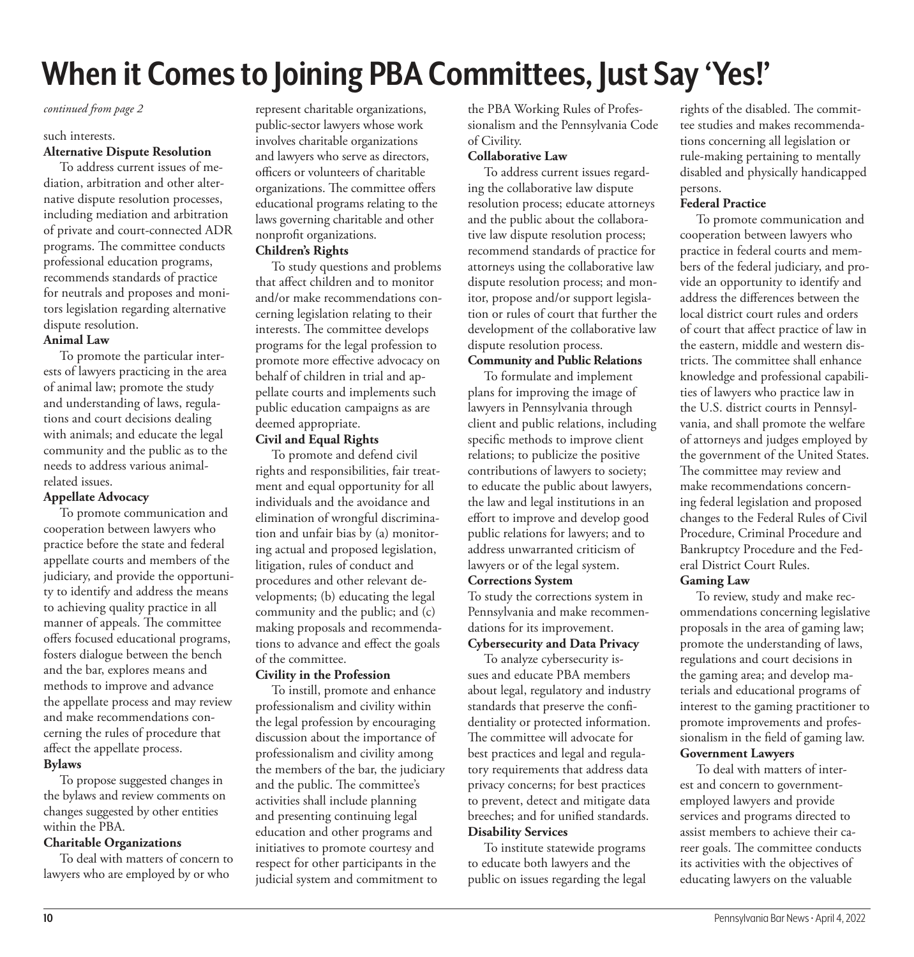# **When it Comes to Joining PBA Committees, Just Say 'Yes!'**

#### *continued from page 2*

#### such interests.

### **Alternative Dispute Resolution**

To address current issues of mediation, arbitration and other alternative dispute resolution processes, including mediation and arbitration of private and court-connected ADR programs. The committee conducts professional education programs, recommends standards of practice for neutrals and proposes and monitors legislation regarding alternative dispute resolution.

# **Animal Law**

To promote the particular interests of lawyers practicing in the area of animal law; promote the study and understanding of laws, regulations and court decisions dealing with animals; and educate the legal community and the public as to the needs to address various animalrelated issues.

# **Appellate Advocacy**

To promote communication and cooperation between lawyers who practice before the state and federal appellate courts and members of the judiciary, and provide the opportunity to identify and address the means to achieving quality practice in all manner of appeals. The committee offers focused educational programs, fosters dialogue between the bench and the bar, explores means and methods to improve and advance the appellate process and may review and make recommendations concerning the rules of procedure that affect the appellate process. **Bylaws**

To propose suggested changes in the bylaws and review comments on changes suggested by other entities within the PBA.

# **Charitable Organizations**

To deal with matters of concern to lawyers who are employed by or who

represent charitable organizations, public-sector lawyers whose work involves charitable organizations and lawyers who serve as directors, officers or volunteers of charitable organizations. The committee offers educational programs relating to the laws governing charitable and other nonprofit organizations.

# **Children's Rights**

To study questions and problems that affect children and to monitor and/or make recommendations concerning legislation relating to their interests. The committee develops programs for the legal profession to promote more effective advocacy on behalf of children in trial and appellate courts and implements such public education campaigns as are deemed appropriate.

# **Civil and Equal Rights**

To promote and defend civil rights and responsibilities, fair treatment and equal opportunity for all individuals and the avoidance and elimination of wrongful discrimination and unfair bias by (a) monitoring actual and proposed legislation, litigation, rules of conduct and procedures and other relevant developments; (b) educating the legal community and the public; and (c) making proposals and recommendations to advance and effect the goals of the committee.

# **Civility in the Profession**

To instill, promote and enhance professionalism and civility within the legal profession by encouraging discussion about the importance of professionalism and civility among the members of the bar, the judiciary and the public. The committee's activities shall include planning and presenting continuing legal education and other programs and initiatives to promote courtesy and respect for other participants in the judicial system and commitment to

the PBA Working Rules of Professionalism and the Pennsylvania Code of Civility.

# **Collaborative Law**

To address current issues regarding the collaborative law dispute resolution process; educate attorneys and the public about the collaborative law dispute resolution process; recommend standards of practice for attorneys using the collaborative law dispute resolution process; and monitor, propose and/or support legislation or rules of court that further the development of the collaborative law dispute resolution process.

# **Community and Public Relations**

To formulate and implement plans for improving the image of lawyers in Pennsylvania through client and public relations, including specific methods to improve client relations; to publicize the positive contributions of lawyers to society; to educate the public about lawyers, the law and legal institutions in an effort to improve and develop good public relations for lawyers; and to address unwarranted criticism of lawyers or of the legal system. **Corrections System**

To study the corrections system in Pennsylvania and make recommendations for its improvement.

# **Cybersecurity and Data Privacy**

To analyze cybersecurity issues and educate PBA members about legal, regulatory and industry standards that preserve the confidentiality or protected information. The committee will advocate for best practices and legal and regulatory requirements that address data privacy concerns; for best practices to prevent, detect and mitigate data breeches; and for unified standards. **Disability Services**

To institute statewide programs to educate both lawyers and the public on issues regarding the legal

rights of the disabled. The committee studies and makes recommendations concerning all legislation or rule-making pertaining to mentally disabled and physically handicapped persons.

### **Federal Practice**

To promote communication and cooperation between lawyers who practice in federal courts and members of the federal judiciary, and provide an opportunity to identify and address the differences between the local district court rules and orders of court that affect practice of law in the eastern, middle and western districts. The committee shall enhance knowledge and professional capabilities of lawyers who practice law in the U.S. district courts in Pennsylvania, and shall promote the welfare of attorneys and judges employed by the government of the United States. The committee may review and make recommendations concerning federal legislation and proposed changes to the Federal Rules of Civil Procedure, Criminal Procedure and Bankruptcy Procedure and the Federal District Court Rules.

# **Gaming Law**

To review, study and make recommendations concerning legislative proposals in the area of gaming law; promote the understanding of laws, regulations and court decisions in the gaming area; and develop materials and educational programs of interest to the gaming practitioner to promote improvements and professionalism in the field of gaming law. **Government Lawyers**

To deal with matters of interest and concern to governmentemployed lawyers and provide services and programs directed to assist members to achieve their career goals. The committee conducts its activities with the objectives of educating lawyers on the valuable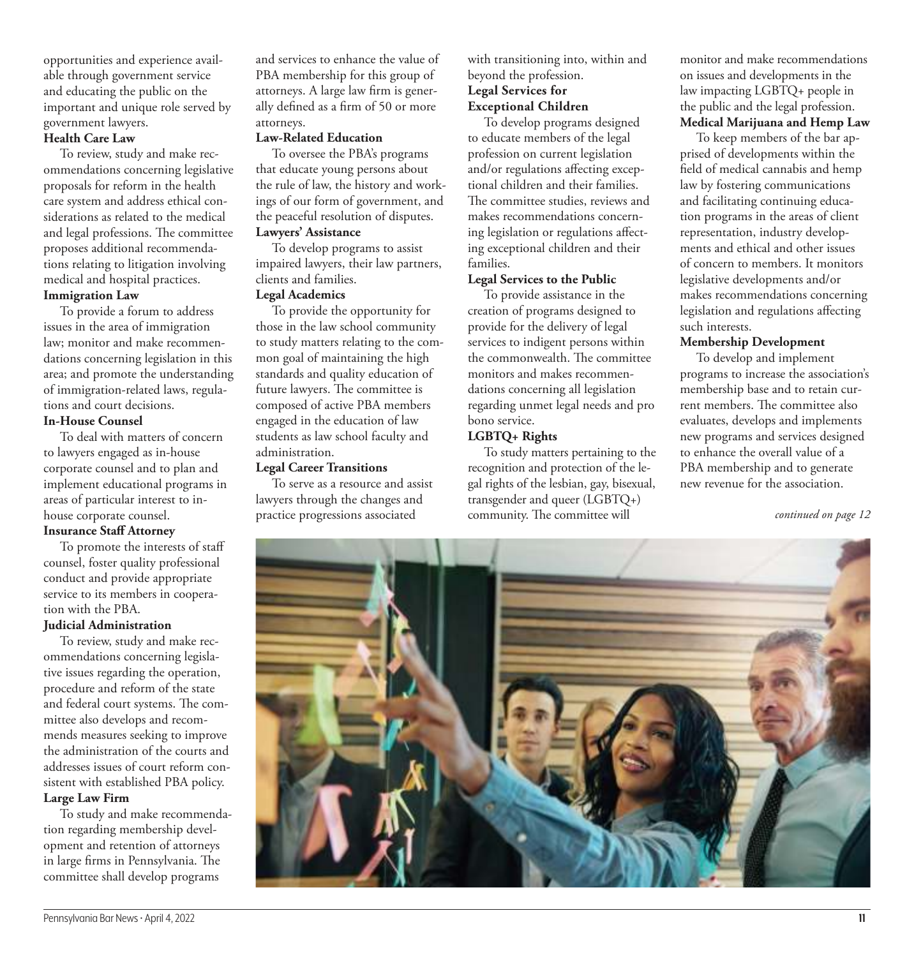opportunities and experience available through government service and educating the public on the important and unique role served by government lawyers.

#### **Health Care Law**

To review, study and make recommendations concerning legislative proposals for reform in the health care system and address ethical considerations as related to the medical and legal professions. The committee proposes additional recommendations relating to litigation involving medical and hospital practices.

#### **Immigration Law**

To provide a forum to address issues in the area of immigration law; monitor and make recommendations concerning legislation in this area; and promote the understanding of immigration-related laws, regulations and court decisions.

# **In-House Counsel**

To deal with matters of concern to lawyers engaged as in-house corporate counsel and to plan and implement educational programs in areas of particular interest to inhouse corporate counsel.

# **Insurance Staff Attorney**

To promote the interests of staff counsel, foster quality professional conduct and provide appropriate service to its members in cooperation with the PBA.

### **Judicial Administration**

To review, study and make recommendations concerning legislative issues regarding the operation, procedure and reform of the state and federal court systems. The committee also develops and recommends measures seeking to improve the administration of the courts and addresses issues of court reform consistent with established PBA policy. **Large Law Firm**

To study and make recommendation regarding membership development and retention of attorneys in large firms in Pennsylvania. The committee shall develop programs

and services to enhance the value of PBA membership for this group of attorneys. A large law firm is generally defined as a firm of 50 or more attorneys.

#### **Law-Related Education**

To oversee the PBA's programs that educate young persons about the rule of law, the history and workings of our form of government, and the peaceful resolution of disputes.

# **Lawyers' Assistance**

To develop programs to assist impaired lawyers, their law partners, clients and families.

### **Legal Academics**

To provide the opportunity for those in the law school community to study matters relating to the common goal of maintaining the high standards and quality education of future lawyers. The committee is composed of active PBA members engaged in the education of law students as law school faculty and administration.

#### **Legal Career Transitions**

To serve as a resource and assist lawyers through the changes and practice progressions associated

with transitioning into, within and beyond the profession. **Legal Services for Exceptional Children**

To develop programs designed to educate members of the legal profession on current legislation and/or regulations affecting exceptional children and their families. The committee studies, reviews and makes recommendations concerning legislation or regulations affecting exceptional children and their families.

#### **Legal Services to the Public**

To provide assistance in the creation of programs designed to provide for the delivery of legal services to indigent persons within the commonwealth. The committee monitors and makes recommendations concerning all legislation regarding unmet legal needs and pro bono service.

# **LGBTQ+ Rights**

To study matters pertaining to the recognition and protection of the legal rights of the lesbian, gay, bisexual, transgender and queer (LGBTQ+) community. The committee will

monitor and make recommendations on issues and developments in the law impacting LGBTQ+ people in the public and the legal profession. **Medical Marijuana and Hemp Law**

To keep members of the bar apprised of developments within the field of medical cannabis and hemp law by fostering communications and facilitating continuing education programs in the areas of client representation, industry developments and ethical and other issues of concern to members. It monitors legislative developments and/or makes recommendations concerning legislation and regulations affecting such interests.

### **Membership Development**

To develop and implement programs to increase the association's membership base and to retain current members. The committee also evaluates, develops and implements new programs and services designed to enhance the overall value of a PBA membership and to generate new revenue for the association.

*continued on page 12*

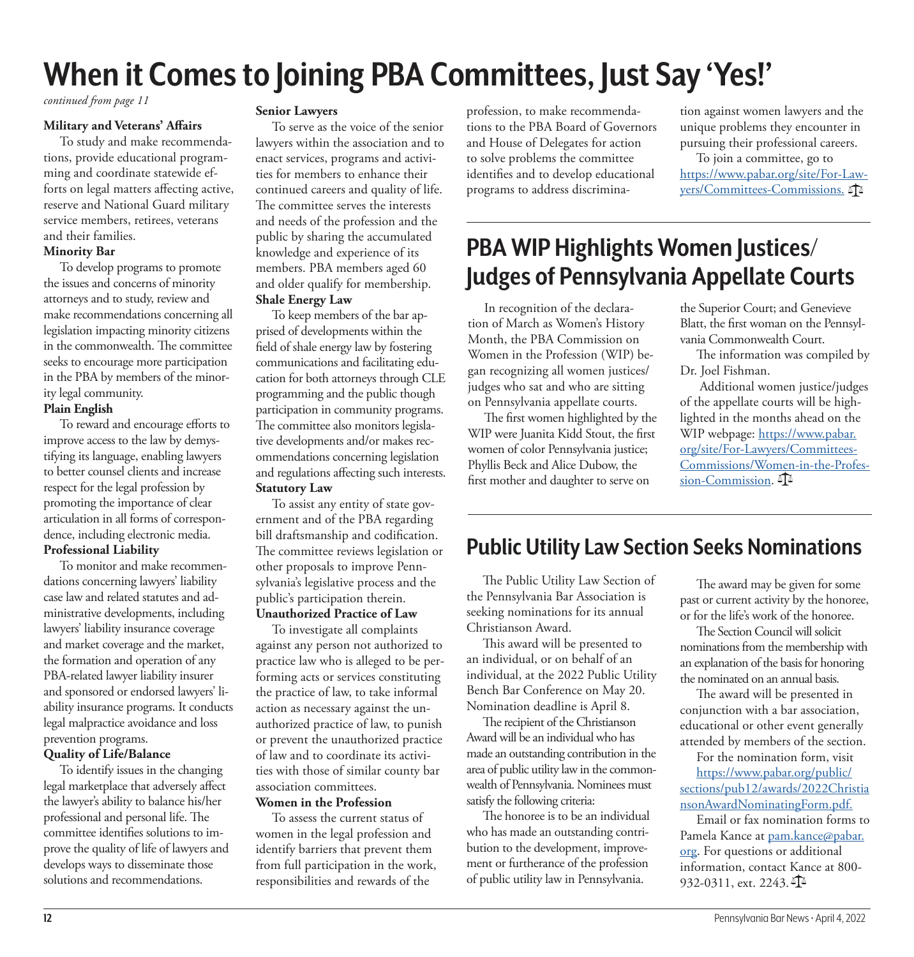# **When it Comes to Joining PBA Committees, Just Say 'Yes!'**

*continued from page 11*

#### **Military and Veterans' Affairs**

To study and make recommendations, provide educational programming and coordinate statewide efforts on legal matters affecting active, reserve and National Guard military service members, retirees, veterans and their families.

# **Minority Bar**

To develop programs to promote the issues and concerns of minority attorneys and to study, review and make recommendations concerning all legislation impacting minority citizens in the commonwealth. The committee seeks to encourage more participation in the PBA by members of the minority legal community.

# **Plain English**

To reward and encourage efforts to improve access to the law by demystifying its language, enabling lawyers to better counsel clients and increase respect for the legal profession by promoting the importance of clear articulation in all forms of correspondence, including electronic media.

### **Professional Liability**

To monitor and make recommendations concerning lawyers' liability case law and related statutes and administrative developments, including lawyers' liability insurance coverage and market coverage and the market, the formation and operation of any PBA-related lawyer liability insurer and sponsored or endorsed lawyers' liability insurance programs. It conducts legal malpractice avoidance and loss prevention programs.

# **Quality of Life/Balance**

To identify issues in the changing legal marketplace that adversely affect the lawyer's ability to balance his/her professional and personal life. The committee identifies solutions to improve the quality of life of lawyers and develops ways to disseminate those solutions and recommendations.

### **Senior Lawyers**

To serve as the voice of the senior lawyers within the association and to enact services, programs and activities for members to enhance their continued careers and quality of life. The committee serves the interests and needs of the profession and the public by sharing the accumulated knowledge and experience of its members. PBA members aged 60 and older qualify for membership. **Shale Energy Law**

To keep members of the bar apprised of developments within the field of shale energy law by fostering communications and facilitating education for both attorneys through CLE programming and the public though participation in community programs. The committee also monitors legislative developments and/or makes recommendations concerning legislation and regulations affecting such interests. **Statutory Law**

To assist any entity of state government and of the PBA regarding bill draftsmanship and codification. The committee reviews legislation or other proposals to improve Pennsylvania's legislative process and the public's participation therein. **Unauthorized Practice of Law**

To investigate all complaints against any person not authorized to practice law who is alleged to be performing acts or services constituting the practice of law, to take informal action as necessary against the unauthorized practice of law, to punish or prevent the unauthorized practice of law and to coordinate its activities with those of similar county bar association committees.

### **Women in the Profession**

To assess the current status of women in the legal profession and identify barriers that prevent them from full participation in the work, responsibilities and rewards of the

profession, to make recommendations to the PBA Board of Governors and House of Delegates for action to solve problems the committee identifies and to develop educational programs to address discrimina-

tion against women lawyers and the unique problems they encounter in pursuing their professional careers.

To join a committee, go to [https://www.pabar.org/site/For-Law](https://www.pabar.org/site/For-Lawyers/Committees-Commissions)[yers/Committees-Commissions.](https://www.pabar.org/site/For-Lawyers/Committees-Commissions)  $\mathbb{A}$ 

# **PBA WIP Highlights Women Justices/ Judges of Pennsylvania Appellate Courts**

In recognition of the declaration of March as Women's History Month, the PBA Commission on Women in the Profession (WIP) began recognizing all women justices/ judges who sat and who are sitting on Pennsylvania appellate courts.

The first women highlighted by the WIP were Juanita Kidd Stout, the first women of color Pennsylvania justice; Phyllis Beck and Alice Dubow, the first mother and daughter to serve on

the Superior Court; and Genevieve Blatt, the first woman on the Pennsylvania Commonwealth Court.

The information was compiled by Dr. Joel Fishman.

 Additional women justice/judges of the appellate courts will be highlighted in the months ahead on the WIP webpage: [https://www.pabar.](https://nam11.safelinks.protection.outlook.com/?url=https%3A%2F%2Fwww.pabar.org%2Fsite%2FFor-Lawyers%2FCommittees-Commissions%2FWomen-in-the-Profession-Commission&data=04%7C01%7CAndy.Andrews%40pabar.org%7C603ed3cf77f04b84371e08da068cd868%7Cc54177158bb34f7bb9dd5c778fa8bc56%7C0%7C0%7C637829499243794458%7CUnknown%7CTWFpbGZsb3d8eyJWIjoiMC4wLjAwMDAiLCJQIjoiV2luMzIiLCJBTiI6Ik1haWwiLCJXVCI6Mn0%3D%7C3000&sdata=MyrEi%2FfJ41rbxWNswZYKHZ3hG2gGf48edDPCz%2FBuIy8%3D&reserved=0) [org/site/For-Lawyers/Committees-](https://nam11.safelinks.protection.outlook.com/?url=https%3A%2F%2Fwww.pabar.org%2Fsite%2FFor-Lawyers%2FCommittees-Commissions%2FWomen-in-the-Profession-Commission&data=04%7C01%7CAndy.Andrews%40pabar.org%7C603ed3cf77f04b84371e08da068cd868%7Cc54177158bb34f7bb9dd5c778fa8bc56%7C0%7C0%7C637829499243794458%7CUnknown%7CTWFpbGZsb3d8eyJWIjoiMC4wLjAwMDAiLCJQIjoiV2luMzIiLCJBTiI6Ik1haWwiLCJXVCI6Mn0%3D%7C3000&sdata=MyrEi%2FfJ41rbxWNswZYKHZ3hG2gGf48edDPCz%2FBuIy8%3D&reserved=0)[Commissions/Women-in-the-Profes](https://nam11.safelinks.protection.outlook.com/?url=https%3A%2F%2Fwww.pabar.org%2Fsite%2FFor-Lawyers%2FCommittees-Commissions%2FWomen-in-the-Profession-Commission&data=04%7C01%7CAndy.Andrews%40pabar.org%7C603ed3cf77f04b84371e08da068cd868%7Cc54177158bb34f7bb9dd5c778fa8bc56%7C0%7C0%7C637829499243794458%7CUnknown%7CTWFpbGZsb3d8eyJWIjoiMC4wLjAwMDAiLCJQIjoiV2luMzIiLCJBTiI6Ik1haWwiLCJXVCI6Mn0%3D%7C3000&sdata=MyrEi%2FfJ41rbxWNswZYKHZ3hG2gGf48edDPCz%2FBuIy8%3D&reserved=0)[sion-Commission.](https://nam11.safelinks.protection.outlook.com/?url=https%3A%2F%2Fwww.pabar.org%2Fsite%2FFor-Lawyers%2FCommittees-Commissions%2FWomen-in-the-Profession-Commission&data=04%7C01%7CAndy.Andrews%40pabar.org%7C603ed3cf77f04b84371e08da068cd868%7Cc54177158bb34f7bb9dd5c778fa8bc56%7C0%7C0%7C637829499243794458%7CUnknown%7CTWFpbGZsb3d8eyJWIjoiMC4wLjAwMDAiLCJQIjoiV2luMzIiLCJBTiI6Ik1haWwiLCJXVCI6Mn0%3D%7C3000&sdata=MyrEi%2FfJ41rbxWNswZYKHZ3hG2gGf48edDPCz%2FBuIy8%3D&reserved=0)  $\mathbb{I}^{\mathbb{A}}$ 

# **Public Utility Law Section Seeks Nominations**

The Public Utility Law Section of the Pennsylvania Bar Association is seeking nominations for its annual Christianson Award.

This award will be presented to an individual, or on behalf of an individual, at the 2022 Public Utility Bench Bar Conference on May 20. Nomination deadline is April 8.

The recipient of the Christianson Award will be an individual who has made an outstanding contribution in the area of public utility law in the commonwealth of Pennsylvania. Nominees must satisfy the following criteria:

The honoree is to be an individual who has made an outstanding contribution to the development, improvement or furtherance of the profession of public utility law in Pennsylvania.

The award may be given for some past or current activity by the honoree, or for the life's work of the honoree.

The Section Council will solicit nominations from the membership with an explanation of the basis for honoring the nominated on an annual basis.

The award will be presented in conjunction with a bar association, educational or other event generally attended by members of the section.

For the nomination form, visit [https://www.pabar.org/public/](https://www.pabar.org/public/sections/pub12/awards/2022ChristiansonAwardNominatingForm.pdf) [sections/pub12/awards/2022Christia](https://www.pabar.org/public/sections/pub12/awards/2022ChristiansonAwardNominatingForm.pdf) [nsonAwardNominatingForm.pdf.](https://www.pabar.org/public/sections/pub12/awards/2022ChristiansonAwardNominatingForm.pdf)

Email or fax nomination forms to Pamela Kance at [pam.kance@pabar.](mailto:pam.kance@pabar.org) [org](mailto:pam.kance@pabar.org). For questions or additional information, contact Kance at 800- 932-0311, ext. 2243.  $\mathbb{R}$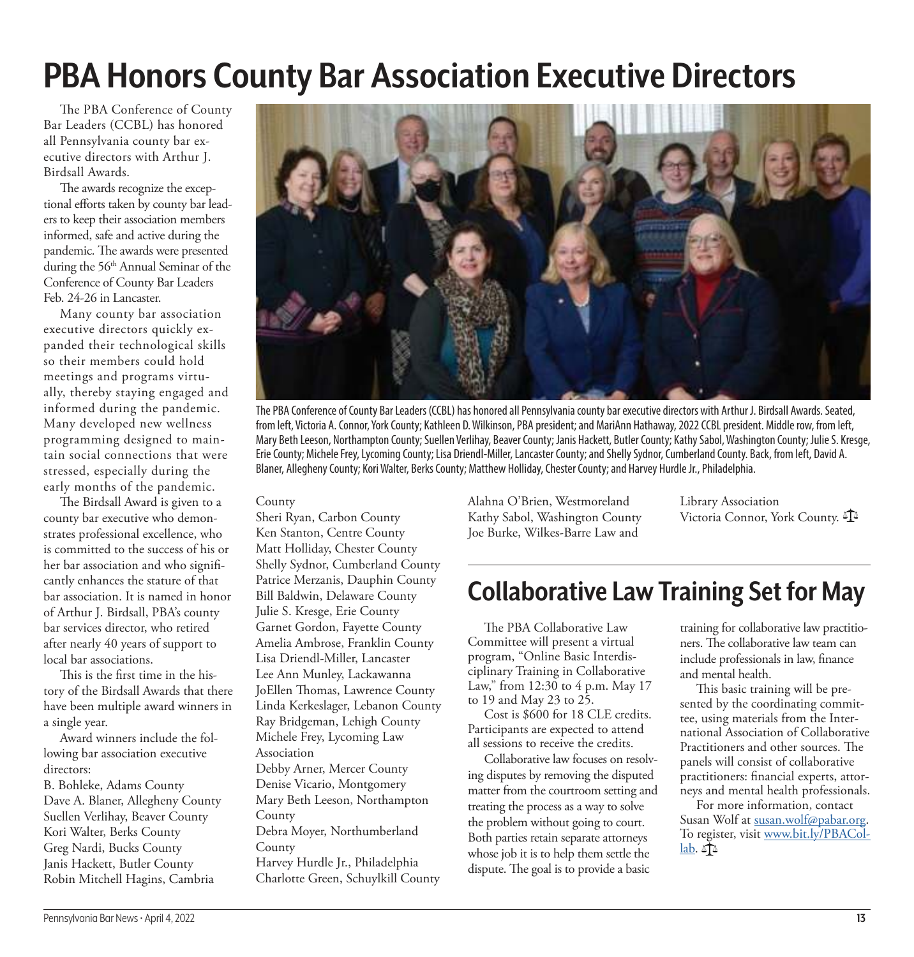# **PBA Honors County Bar Association Executive Directors**

The PBA Conference of County Bar Leaders (CCBL) has honored all Pennsylvania county bar executive directors with Arthur J. Birdsall Awards.

The awards recognize the exceptional efforts taken by county bar leaders to keep their association members informed, safe and active during the pandemic. The awards were presented during the 56<sup>th</sup> Annual Seminar of the Conference of County Bar Leaders Feb. 24-26 in Lancaster.

Many county bar association executive directors quickly expanded their technological skills so their members could hold meetings and programs virtually, thereby staying engaged and informed during the pandemic. Many developed new wellness programming designed to maintain social connections that were stressed, especially during the early months of the pandemic.

The Birdsall Award is given to a county bar executive who demonstrates professional excellence, who is committed to the success of his or her bar association and who significantly enhances the stature of that bar association. It is named in honor of Arthur J. Birdsall, PBA's county bar services director, who retired after nearly 40 years of support to local bar associations.

This is the first time in the history of the Birdsall Awards that there have been multiple award winners in a single year.

Award winners include the following bar association executive directors:

B. Bohleke, Adams County Dave A. Blaner, Allegheny County Suellen Verlihay, Beaver County Kori Walter, Berks County Greg Nardi, Bucks County Janis Hackett, Butler County Robin Mitchell Hagins, Cambria



The PBA Conference of County Bar Leaders (CCBL) has honored all Pennsylvania county bar executive directors with Arthur J. Birdsall Awards. Seated, from left, Victoria A. Connor, York County; Kathleen D. Wilkinson, PBA president; and MariAnn Hathaway, 2022 CCBL president. Middle row, from left, Mary Beth Leeson, Northampton County; Suellen Verlihay, Beaver County; Janis Hackett, Butler County; Kathy Sabol, Washington County; Julie S. Kresge, Erie County; Michele Frey, Lycoming County; Lisa Driendl-Miller, Lancaster County; and Shelly Sydnor, Cumberland County. Back, from left, David A. Blaner, Allegheny County; Kori Walter, Berks County; Matthew Holliday, Chester County; and Harvey Hurdle Jr., Philadelphia.

County

Sheri Ryan, Carbon County Ken Stanton, Centre County Matt Holliday, Chester County Shelly Sydnor, Cumberland County Patrice Merzanis, Dauphin County Bill Baldwin, Delaware County Julie S. Kresge, Erie County Garnet Gordon, Fayette County Amelia Ambrose, Franklin County Lisa Driendl-Miller, Lancaster Lee Ann Munley, Lackawanna JoEllen Thomas, Lawrence County Linda Kerkeslager, Lebanon County Ray Bridgeman, Lehigh County Michele Frey, Lycoming Law Association Debby Arner, Mercer County Denise Vicario, Montgomery Mary Beth Leeson, Northampton County Debra Moyer, Northumberland County Harvey Hurdle Jr., Philadelphia Charlotte Green, Schuylkill County

Alahna O'Brien, Westmoreland Kathy Sabol, Washington County Joe Burke, Wilkes-Barre Law and

Library Association Victoria Connor, York County.

# **Collaborative Law Training Set for May**

The PBA Collaborative Law Committee will present a virtual program, "Online Basic Interdisciplinary Training in Collaborative Law," from 12:30 to 4 p.m. May 17 to 19 and May 23 to 25.

Cost is \$600 for 18 CLE credits. Participants are expected to attend all sessions to receive the credits.

Collaborative law focuses on resolving disputes by removing the disputed matter from the courtroom setting and treating the process as a way to solve the problem without going to court. Both parties retain separate attorneys whose job it is to help them settle the dispute. The goal is to provide a basic

training for collaborative law practitioners. The collaborative law team can include professionals in law, finance and mental health.

This basic training will be presented by the coordinating committee, using materials from the International Association of Collaborative Practitioners and other sources. The panels will consist of collaborative practitioners: financial experts, attorneys and mental health professionals.

For more information, contact Susan Wolf at [susan.wolf@pabar.org](mailto:susan.wolf@pabar.org). To register, visit [www.bit.ly/PBACol](http://www.bit.ly/PBACollab) $lab.$   $\mathbb{T}^2$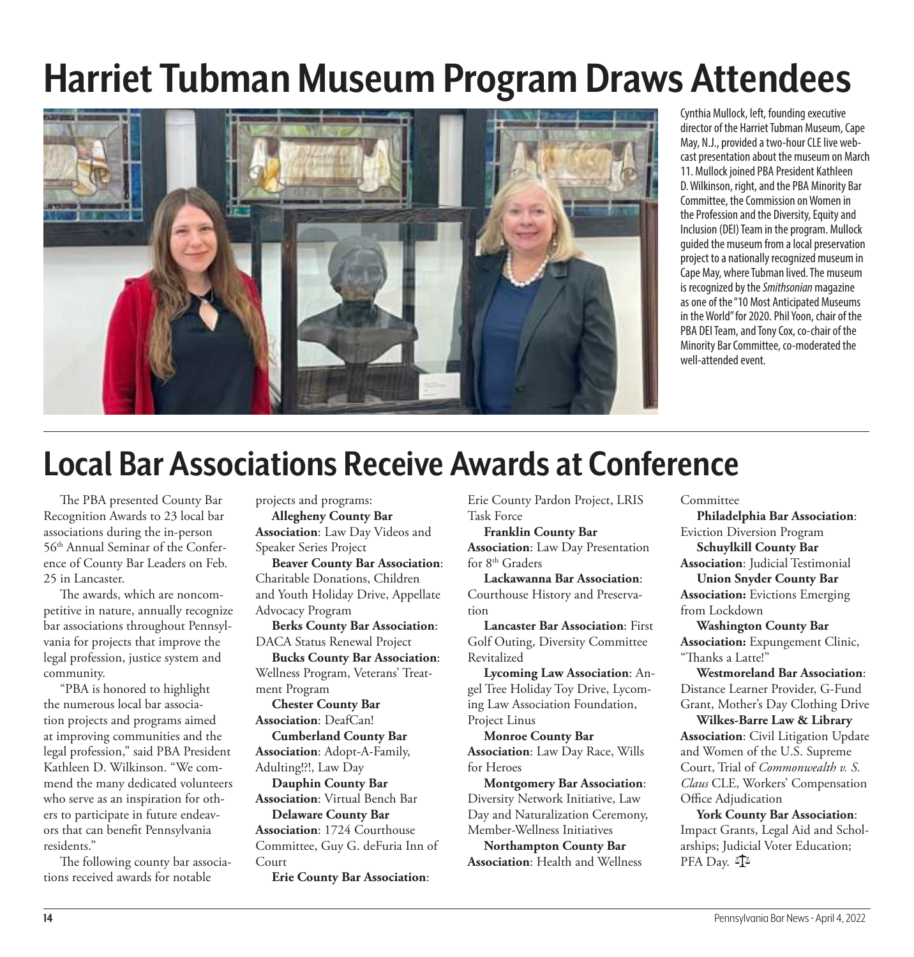# **Harriet Tubman Museum Program Draws Attendees**



Cynthia Mullock, left, founding executive director of the Harriet Tubman Museum, Cape May, N.J., provided a two-hour CLE live webcast presentation about the museum on March 11. Mullock joined PBA President Kathleen D. Wilkinson, right, and the PBA Minority Bar Committee, the Commission on Women in the Profession and the Diversity, Equity and Inclusion (DEI) Team in the program. Mullock guided the museum from a local preservation project to a nationally recognized museum in Cape May, where Tubman lived. The museum is recognized by the Smithsonian magazine as one of the "10 Most Anticipated Museums in the World" for 2020. Phil Yoon, chair of the PBA DEI Team, and Tony Cox, co-chair of the Minority Bar Committee, co-moderated the well-attended event.

# **Local Bar Associations Receive Awards at Conference**

The PBA presented County Bar Recognition Awards to 23 local bar associations during the in-person 56th Annual Seminar of the Conference of County Bar Leaders on Feb. 25 in Lancaster.

The awards, which are noncompetitive in nature, annually recognize bar associations throughout Pennsylvania for projects that improve the legal profession, justice system and community.

"PBA is honored to highlight the numerous local bar association projects and programs aimed at improving communities and the legal profession," said PBA President Kathleen D. Wilkinson. "We commend the many dedicated volunteers who serve as an inspiration for others to participate in future endeavors that can benefit Pennsylvania residents."

The following county bar associations received awards for notable

projects and programs: **Allegheny County Bar** 

**Association**: Law Day Videos and Speaker Series Project

**Beaver County Bar Association**: Charitable Donations, Children and Youth Holiday Drive, Appellate Advocacy Program

**Berks County Bar Association**: DACA Status Renewal Project

**Bucks County Bar Association**: Wellness Program, Veterans' Treat-

ment Program **Chester County Bar Association**: DeafCan!

**Cumberland County Bar Association**: Adopt-A-Family, Adulting!?!, Law Day

**Dauphin County Bar Association**: Virtual Bench Bar **Delaware County Bar Association**: 1724 Courthouse

Committee, Guy G. deFuria Inn of Court

**Erie County Bar Association**:

Erie County Pardon Project, LRIS Task Force

**Franklin County Bar Association**: Law Day Presentation for 8<sup>th</sup> Graders

**Lackawanna Bar Association**: Courthouse History and Preservation

**Lancaster Bar Association**: First Golf Outing, Diversity Committee Revitalized

**Lycoming Law Association**: Angel Tree Holiday Toy Drive, Lycoming Law Association Foundation, Project Linus

**Monroe County Bar Association**: Law Day Race, Wills for Heroes

**Montgomery Bar Association**: Diversity Network Initiative, Law Day and Naturalization Ceremony, Member-Wellness Initiatives

**Northampton County Bar Association**: Health and Wellness Committee

**Philadelphia Bar Association**: Eviction Diversion Program **Schuylkill County Bar Association**: Judicial Testimonial **Union Snyder County Bar Association:** Evictions Emerging from Lockdown

**Washington County Bar Association:** Expungement Clinic, "Thanks a Latte!"

**Westmoreland Bar Association**: Distance Learner Provider, G-Fund Grant, Mother's Day Clothing Drive **Wilkes-Barre Law & Library** 

**Association**: Civil Litigation Update and Women of the U.S. Supreme Court, Trial of *Commonwealth v. S. Claus* CLE, Workers' Compensation Office Adjudication

**York County Bar Association**: Impact Grants, Legal Aid and Scholarships; Judicial Voter Education; PFA Day.  $\mathbb{I}^{\mathbb{Z}}$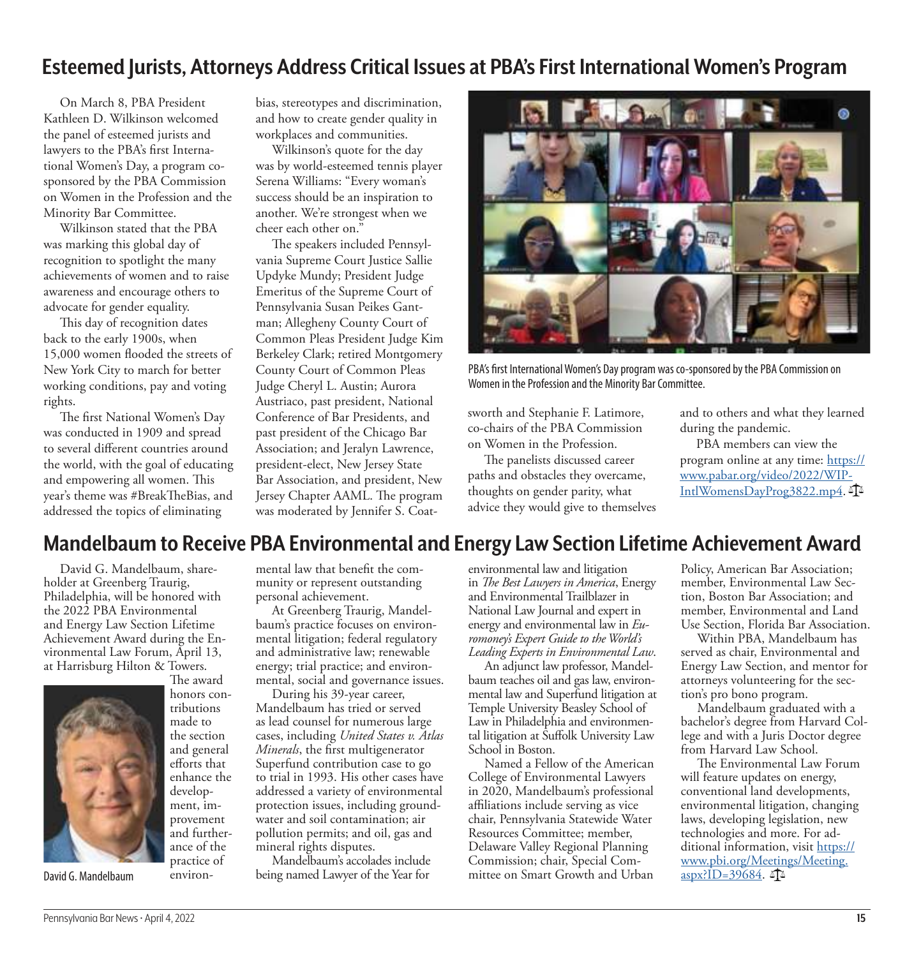# **Esteemed Jurists, Attorneys Address Critical Issues at PBA's First International Women's Program**

On March 8, PBA President Kathleen D. Wilkinson welcomed the panel of esteemed jurists and lawyers to the PBA's first International Women's Day, a program cosponsored by the PBA Commission on Women in the Profession and the Minority Bar Committee.

Wilkinson stated that the PBA was marking this global day of recognition to spotlight the many achievements of women and to raise awareness and encourage others to advocate for gender equality.

This day of recognition dates back to the early 1900s, when 15,000 women flooded the streets of New York City to march for better working conditions, pay and voting rights.

The first National Women's Day was conducted in 1909 and spread to several different countries around the world, with the goal of educating and empowering all women. This year's theme was #BreakTheBias, and addressed the topics of eliminating

bias, stereotypes and discrimination, and how to create gender quality in workplaces and communities.

Wilkinson's quote for the day was by world-esteemed tennis player Serena Williams: "Every woman's success should be an inspiration to another. We're strongest when we cheer each other on."

The speakers included Pennsylvania Supreme Court Justice Sallie Updyke Mundy; President Judge Emeritus of the Supreme Court of Pennsylvania Susan Peikes Gantman; Allegheny County Court of Common Pleas President Judge Kim Berkeley Clark; retired Montgomery County Court of Common Pleas Judge Cheryl L. Austin; Aurora Austriaco, past president, National Conference of Bar Presidents, and past president of the Chicago Bar Association; and Jeralyn Lawrence, president-elect, New Jersey State Bar Association, and president, New Jersey Chapter AAML. The program was moderated by Jennifer S. Coat-



PBA's first International Women's Day program was co-sponsored by the PBA Commission on Women in the Profession and the Minority Bar Committee.

sworth and Stephanie F. Latimore, co-chairs of the PBA Commission on Women in the Profession.

The panelists discussed career paths and obstacles they overcame, thoughts on gender parity, what advice they would give to themselves and to others and what they learned during the pandemic.

PBA members can view the program online at any time: [https://](https://www.pabar.org/video/2022/WIPIntlWomensDayProg3822.mp4) [www.pabar.org/video/2022/WIP-](https://www.pabar.org/video/2022/WIPIntlWomensDayProg3822.mp4)[IntlWomensDayProg3822.mp4](https://www.pabar.org/video/2022/WIPIntlWomensDayProg3822.mp4).

# **Mandelbaum to Receive PBA Environmental and Energy Law Section Lifetime Achievement Award**

David G. Mandelbaum, shareholder at Greenberg Traurig, Philadelphia, will be honored with the 2022 PBA Environmental and Energy Law Section Lifetime Achievement Award during the Environmental Law Forum, April 13, at Harrisburg Hilton & Towers.

> The award honors con-

made to the section and general efforts that enhance the development, improvement

ance of the practice of environ-



David G. Mandelbaum

mental law that benefit the community or represent outstanding personal achievement.

At Greenberg Traurig, Mandelbaum's practice focuses on environmental litigation; federal regulatory and administrative law; renewable energy; trial practice; and environmental, social and governance issues.

During his 39-year career, Mandelbaum has tried or served as lead counsel for numerous large cases, including *United States v. Atlas Minerals*, the first multigenerator Superfund contribution case to go to trial in 1993. His other cases have addressed a variety of environmental protection issues, including groundwater and soil contamination; air pollution permits; and oil, gas and mineral rights disputes.

Mandelbaum's accolades include being named Lawyer of the Year for

environmental law and litigation in *The Best Lawyers in America*, Energy and Environmental Trailblazer in National Law Journal and expert in energy and environmental law in *Euromoney's Expert Guide to the World's Leading Experts in Environmental Law*.

An adjunct law professor, Mandelbaum teaches oil and gas law, environmental law and Superfund litigation at Temple University Beasley School of Law in Philadelphia and environmental litigation at Suffolk University Law School in Boston.

Named a Fellow of the American College of Environmental Lawyers in 2020, Mandelbaum's professional affiliations include serving as vice chair, Pennsylvania Statewide Water Resources Committee; member, Delaware Valley Regional Planning Commission; chair, Special Committee on Smart Growth and Urban

Policy, American Bar Association; member, Environmental Law Section, Boston Bar Association; and member, Environmental and Land Use Section, Florida Bar Association.

Within PBA, Mandelbaum has served as chair, Environmental and Energy Law Section, and mentor for attorneys volunteering for the section's pro bono program.

Mandelbaum graduated with a bachelor's degree from Harvard College and with a Juris Doctor degree from Harvard Law School.

The Environmental Law Forum will feature updates on energy, conventional land developments, environmental litigation, changing laws, developing legislation, new technologies and more. For additional information, visit [https://](https://www.pbi.org/Meetings/Meeting.aspx?ID=39684) [www.pbi.org/Meetings/Meeting.](https://www.pbi.org/Meetings/Meeting.aspx?ID=39684) aspx?ID= $39684$ .